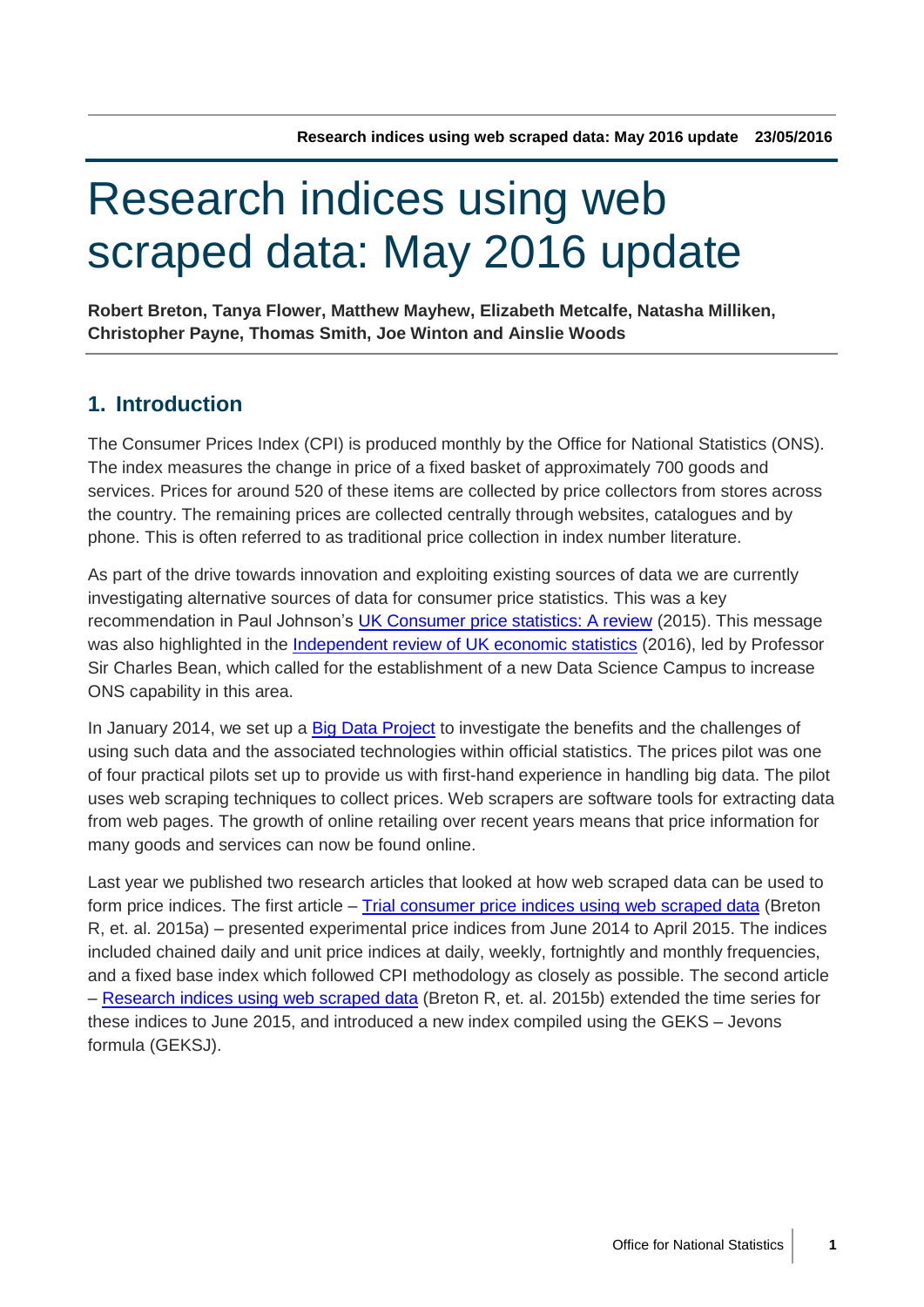# Research indices using web scraped data: May 2016 update

**Robert Breton, Tanya Flower, Matthew Mayhew, Elizabeth Metcalfe, Natasha Milliken, Christopher Payne, Thomas Smith, Joe Winton and Ainslie Woods**

# **1. Introduction**

The Consumer Prices Index (CPI) is produced monthly by the Office for National Statistics (ONS). The index measures the change in price of a fixed basket of approximately 700 goods and services. Prices for around 520 of these items are collected by price collectors from stores across the country. The remaining prices are collected centrally through websites, catalogues and by phone. This is often referred to as traditional price collection in index number literature.

As part of the drive towards innovation and exploiting existing sources of data we are currently investigating alternative sources of data for consumer price statistics. This was a key recommendation in Paul Johnson's [UK Consumer price statistics: A review](http://www.statisticsauthority.gov.uk/reports---correspondence/current-reviews/range-of-prices-statistics.html) (2015). This message was also highlighted in the [Independent review of UK economic statistics](https://www.gov.uk/government/publications/independent-review-of-uk-economic-statistics-final-report) (2016), led by Professor Sir Charles Bean, which called for the establishment of a new Data Science Campus to increase ONS capability in this area.

In January 2014, we set up a [Big Data Project](http://www.ons.gov.uk/ons/about-ons/who-ons-are/programmes-and-projects/the-ons-big-data-project/index.html) to investigate the benefits and the challenges of using such data and the associated technologies within official statistics. The prices pilot was one of four practical pilots set up to provide us with first-hand experience in handling big data. The pilot uses web scraping techniques to collect prices. Web scrapers are software tools for extracting data from web pages. The growth of online retailing over recent years means that price information for many goods and services can now be found online.

Last year we published two research articles that looked at how web scraped data can be used to form price indices. The first article – [Trial consumer price indices using web scraped data](http://www.ons.gov.uk/ons/rel/cpi/consumer-price-indices/experimental-consumer-price-indices-using-web-scraped-data/index.html) (Breton R, et. al. 2015a) – presented experimental price indices from June 2014 to April 2015. The indices included chained daily and unit price indices at daily, weekly, fortnightly and monthly frequencies, and a fixed base index which followed CPI methodology as closely as possible. The second article – [Research indices using web scraped data](http://webarchive.nationalarchives.gov.uk/20160105160709/http:/www.ons.gov.uk/ons/rel/cpi/consumer-price-indices/research-indices-using-web-scraped-price-data/index.html) (Breton R, et. al. 2015b) extended the time series for these indices to June 2015, and introduced a new index compiled using the GEKS – Jevons formula (GEKSJ).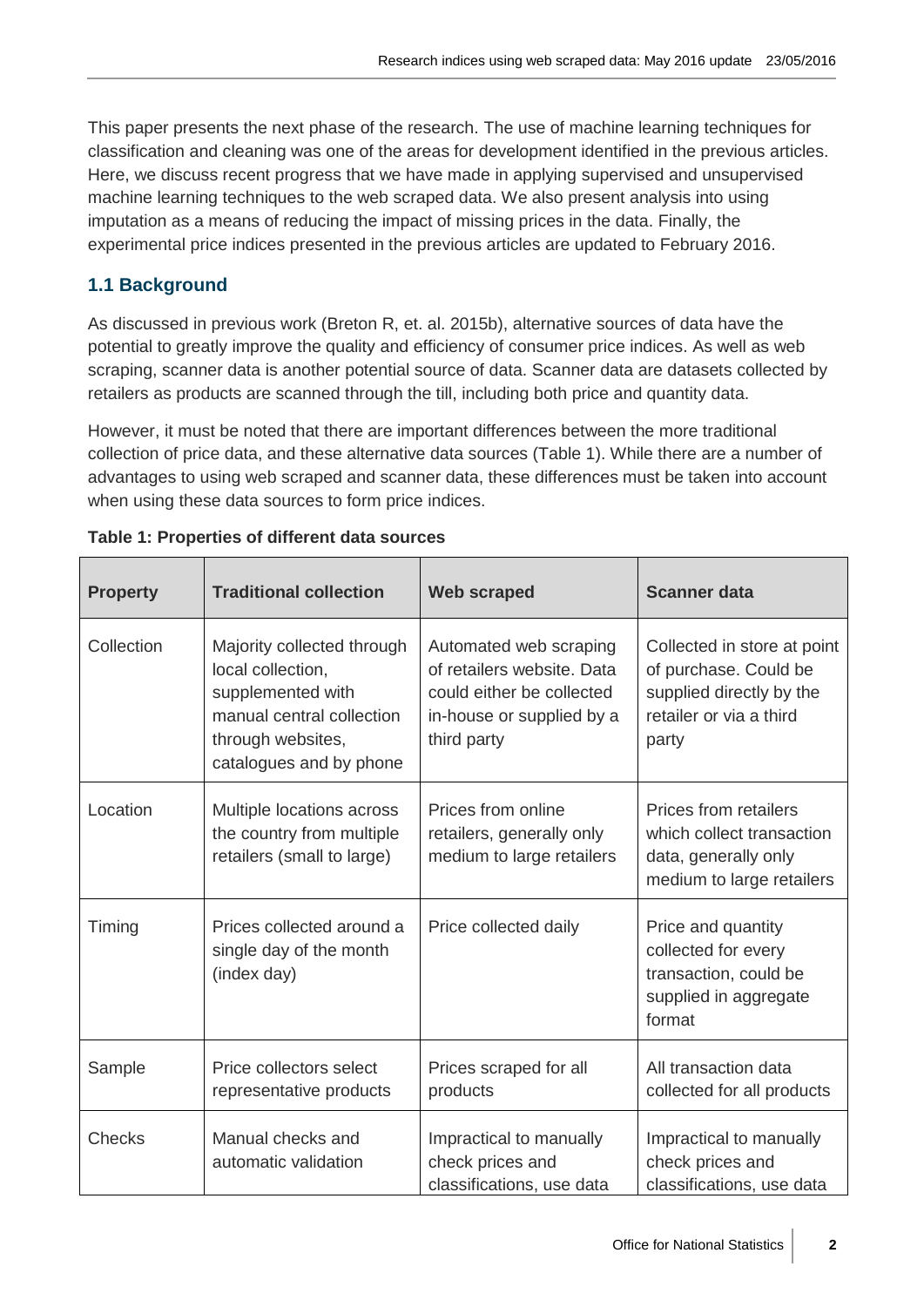This paper presents the next phase of the research. The use of machine learning techniques for classification and cleaning was one of the areas for development identified in the previous articles. Here, we discuss recent progress that we have made in applying supervised and unsupervised machine learning techniques to the web scraped data. We also present analysis into using imputation as a means of reducing the impact of missing prices in the data. Finally, the experimental price indices presented in the previous articles are updated to February 2016.

# **1.1 Background**

As discussed in previous work (Breton R, et. al. 2015b), alternative sources of data have the potential to greatly improve the quality and efficiency of consumer price indices. As well as web scraping, scanner data is another potential source of data. Scanner data are datasets collected by retailers as products are scanned through the till, including both price and quantity data.

However, it must be noted that there are important differences between the more traditional collection of price data, and these alternative data sources (Table 1). While there are a number of advantages to using web scraped and scanner data, these differences must be taken into account when using these data sources to form price indices.

| <b>Property</b> | <b>Traditional collection</b>                                                                                                                     | <b>Web scraped</b>                                                                                                            | <b>Scanner data</b>                                                                                                  |
|-----------------|---------------------------------------------------------------------------------------------------------------------------------------------------|-------------------------------------------------------------------------------------------------------------------------------|----------------------------------------------------------------------------------------------------------------------|
| Collection      | Majority collected through<br>local collection,<br>supplemented with<br>manual central collection<br>through websites,<br>catalogues and by phone | Automated web scraping<br>of retailers website. Data<br>could either be collected<br>in-house or supplied by a<br>third party | Collected in store at point<br>of purchase. Could be<br>supplied directly by the<br>retailer or via a third<br>party |
| Location        | Multiple locations across<br>the country from multiple<br>retailers (small to large)                                                              | Prices from online<br>retailers, generally only<br>medium to large retailers                                                  | <b>Prices from retailers</b><br>which collect transaction<br>data, generally only<br>medium to large retailers       |
| Timing          | Prices collected around a<br>single day of the month<br>(index day)                                                                               | Price collected daily                                                                                                         | Price and quantity<br>collected for every<br>transaction, could be<br>supplied in aggregate<br>format                |
| Sample          | Price collectors select<br>representative products                                                                                                | Prices scraped for all<br>products                                                                                            | All transaction data<br>collected for all products                                                                   |
| <b>Checks</b>   | Manual checks and<br>automatic validation                                                                                                         | Impractical to manually<br>check prices and<br>classifications, use data                                                      | Impractical to manually<br>check prices and<br>classifications, use data                                             |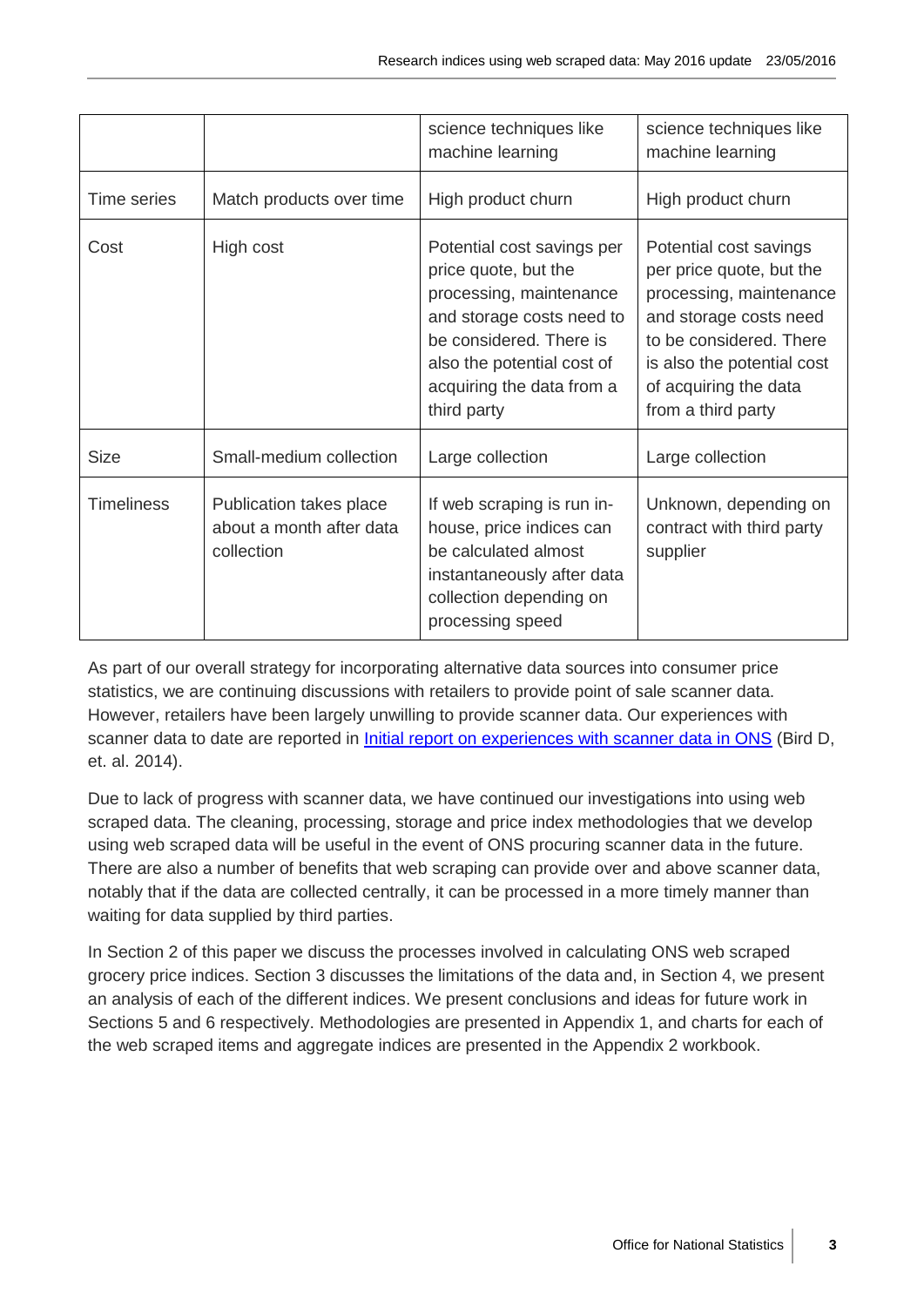|                   |                                                                   | science techniques like<br>machine learning                                                                                                                                                                     | science techniques like<br>machine learning                                                                                                                                                                     |
|-------------------|-------------------------------------------------------------------|-----------------------------------------------------------------------------------------------------------------------------------------------------------------------------------------------------------------|-----------------------------------------------------------------------------------------------------------------------------------------------------------------------------------------------------------------|
| Time series       | Match products over time                                          | High product churn                                                                                                                                                                                              | High product churn                                                                                                                                                                                              |
| Cost              | High cost                                                         | Potential cost savings per<br>price quote, but the<br>processing, maintenance<br>and storage costs need to<br>be considered. There is<br>also the potential cost of<br>acquiring the data from a<br>third party | Potential cost savings<br>per price quote, but the<br>processing, maintenance<br>and storage costs need<br>to be considered. There<br>is also the potential cost<br>of acquiring the data<br>from a third party |
| <b>Size</b>       | Small-medium collection                                           | Large collection                                                                                                                                                                                                | Large collection                                                                                                                                                                                                |
| <b>Timeliness</b> | Publication takes place<br>about a month after data<br>collection | If web scraping is run in-<br>house, price indices can<br>be calculated almost<br>instantaneously after data<br>collection depending on<br>processing speed                                                     | Unknown, depending on<br>contract with third party<br>supplier                                                                                                                                                  |

As part of our overall strategy for incorporating alternative data sources into consumer price statistics, we are continuing discussions with retailers to provide point of sale scanner data. However, retailers have been largely unwilling to provide scanner data. Our experiences with scanner data to date are reported in [Initial report on experiences with scanner data in ONS](http://www.ons.gov.uk/ons/rel/cpi/consumer-price-indices/initial-report-on-experiences-with-scanner-data-in-ons/index.html) (Bird D, et. al. 2014).

Due to lack of progress with scanner data, we have continued our investigations into using web scraped data. The cleaning, processing, storage and price index methodologies that we develop using web scraped data will be useful in the event of ONS procuring scanner data in the future. There are also a number of benefits that web scraping can provide over and above scanner data, notably that if the data are collected centrally, it can be processed in a more timely manner than waiting for data supplied by third parties.

In Section 2 of this paper we discuss the processes involved in calculating ONS web scraped grocery price indices. Section 3 discusses the limitations of the data and, in Section 4, we present an analysis of each of the different indices. We present conclusions and ideas for future work in Sections 5 and 6 respectively. Methodologies are presented in Appendix 1, and charts for each of the web scraped items and aggregate indices are presented in the Appendix 2 workbook.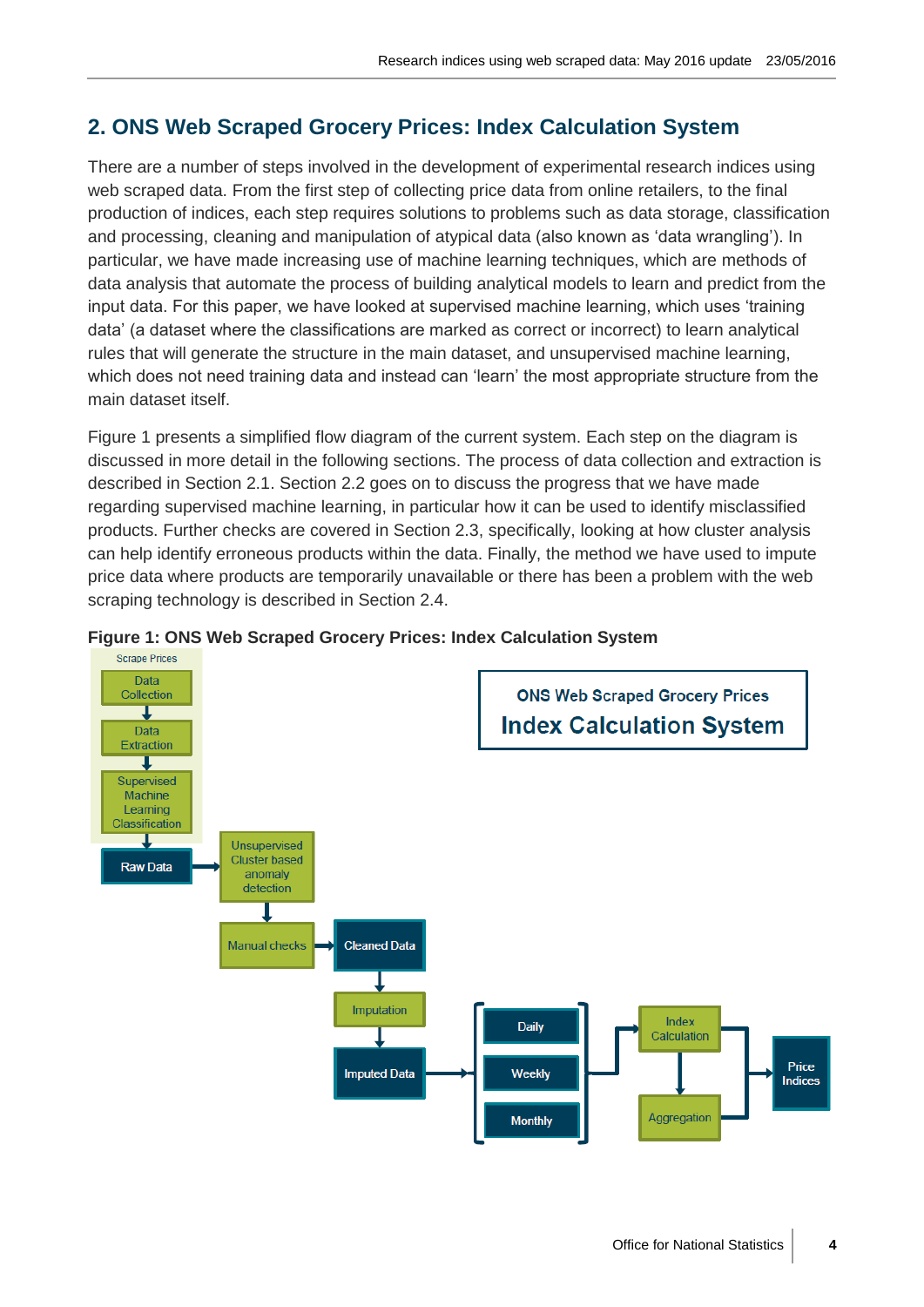# **2. ONS Web Scraped Grocery Prices: Index Calculation System**

There are a number of steps involved in the development of experimental research indices using web scraped data. From the first step of collecting price data from online retailers, to the final production of indices, each step requires solutions to problems such as data storage, classification and processing, cleaning and manipulation of atypical data (also known as 'data wrangling'). In particular, we have made increasing use of machine learning techniques, which are methods of data analysis that automate the process of building analytical models to learn and predict from the input data. For this paper, we have looked at supervised machine learning, which uses 'training data' (a dataset where the classifications are marked as correct or incorrect) to learn analytical rules that will generate the structure in the main dataset, and unsupervised machine learning, which does not need training data and instead can 'learn' the most appropriate structure from the main dataset itself.

Figure 1 presents a simplified flow diagram of the current system. Each step on the diagram is discussed in more detail in the following sections. The process of data collection and extraction is described in Section 2.1. Section 2.2 goes on to discuss the progress that we have made regarding supervised machine learning, in particular how it can be used to identify misclassified products. Further checks are covered in Section 2.3, specifically, looking at how cluster analysis can help identify erroneous products within the data. Finally, the method we have used to impute price data where products are temporarily unavailable or there has been a problem with the web scraping technology is described in Section 2.4.



#### **Figure 1: ONS Web Scraped Grocery Prices: Index Calculation System**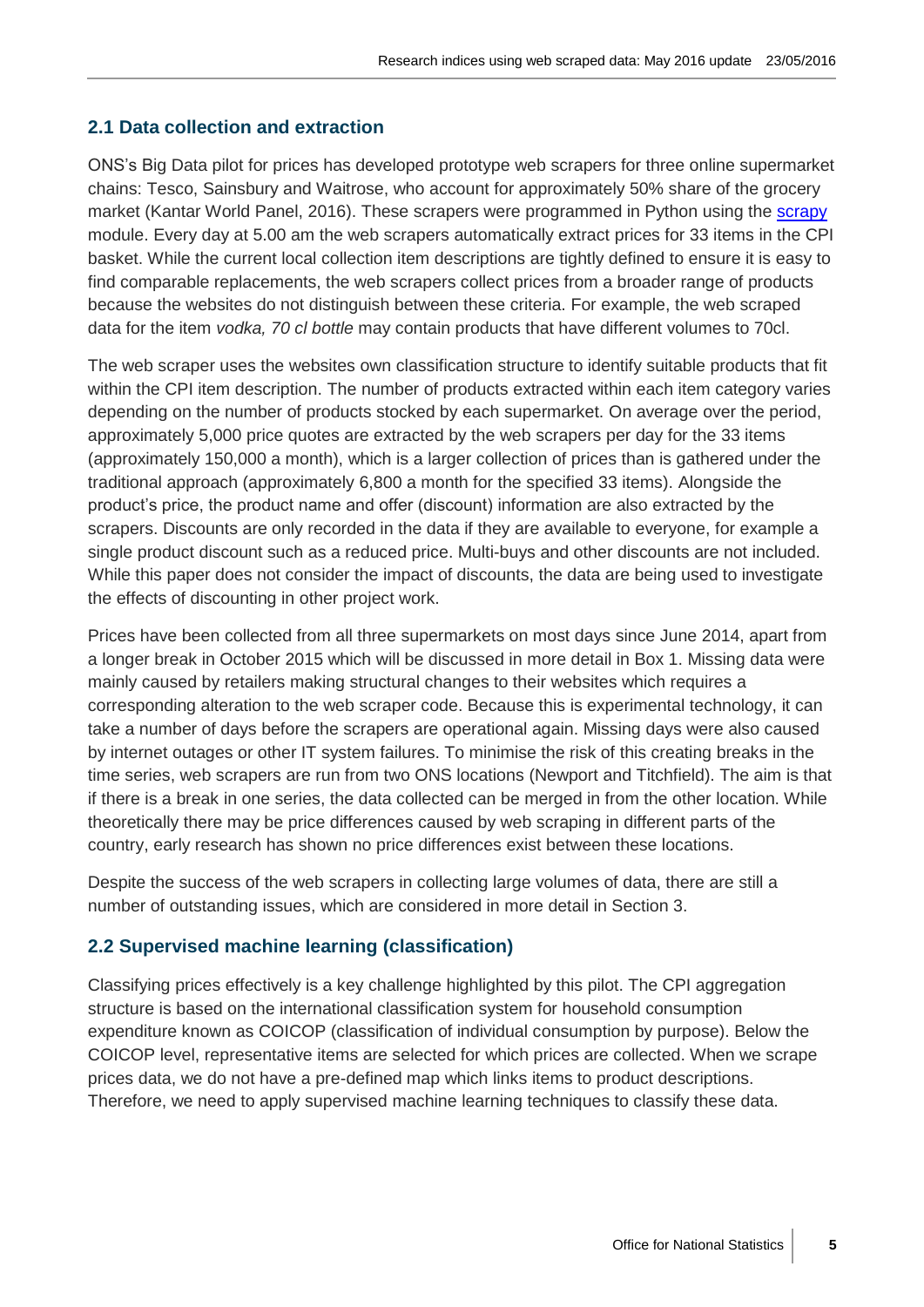## **2.1 Data collection and extraction**

ONS's Big Data pilot for prices has developed prototype web scrapers for three online supermarket chains: Tesco, Sainsbury and Waitrose, who account for approximately 50% share of the grocery market (Kantar World Panel, 2016). These scrapers were programmed in Python using the [scrapy](http://scrapy.org/) module. Every day at 5.00 am the web scrapers automatically extract prices for 33 items in the CPI basket. While the current local collection item descriptions are tightly defined to ensure it is easy to find comparable replacements, the web scrapers collect prices from a broader range of products because the websites do not distinguish between these criteria. For example, the web scraped data for the item *vodka, 70 cl bottle* may contain products that have different volumes to 70cl.

The web scraper uses the websites own classification structure to identify suitable products that fit within the CPI item description. The number of products extracted within each item category varies depending on the number of products stocked by each supermarket. On average over the period, approximately 5,000 price quotes are extracted by the web scrapers per day for the 33 items (approximately 150,000 a month), which is a larger collection of prices than is gathered under the traditional approach (approximately 6,800 a month for the specified 33 items). Alongside the product's price, the product name and offer (discount) information are also extracted by the scrapers. Discounts are only recorded in the data if they are available to everyone, for example a single product discount such as a reduced price. Multi-buys and other discounts are not included. While this paper does not consider the impact of discounts, the data are being used to investigate the effects of discounting in other project work.

Prices have been collected from all three supermarkets on most days since June 2014, apart from a longer break in October 2015 which will be discussed in more detail in Box 1. Missing data were mainly caused by retailers making structural changes to their websites which requires a corresponding alteration to the web scraper code. Because this is experimental technology, it can take a number of days before the scrapers are operational again. Missing days were also caused by internet outages or other IT system failures. To minimise the risk of this creating breaks in the time series, web scrapers are run from two ONS locations (Newport and Titchfield). The aim is that if there is a break in one series, the data collected can be merged in from the other location. While theoretically there may be price differences caused by web scraping in different parts of the country, early research has shown no price differences exist between these locations.

Despite the success of the web scrapers in collecting large volumes of data, there are still a number of outstanding issues, which are considered in more detail in Section 3.

#### **2.2 Supervised machine learning (classification)**

Classifying prices effectively is a key challenge highlighted by this pilot. The CPI aggregation structure is based on the international classification system for household consumption expenditure known as COICOP (classification of individual consumption by purpose). Below the COICOP level, representative items are selected for which prices are collected. When we scrape prices data, we do not have a pre-defined map which links items to product descriptions. Therefore, we need to apply supervised machine learning techniques to classify these data.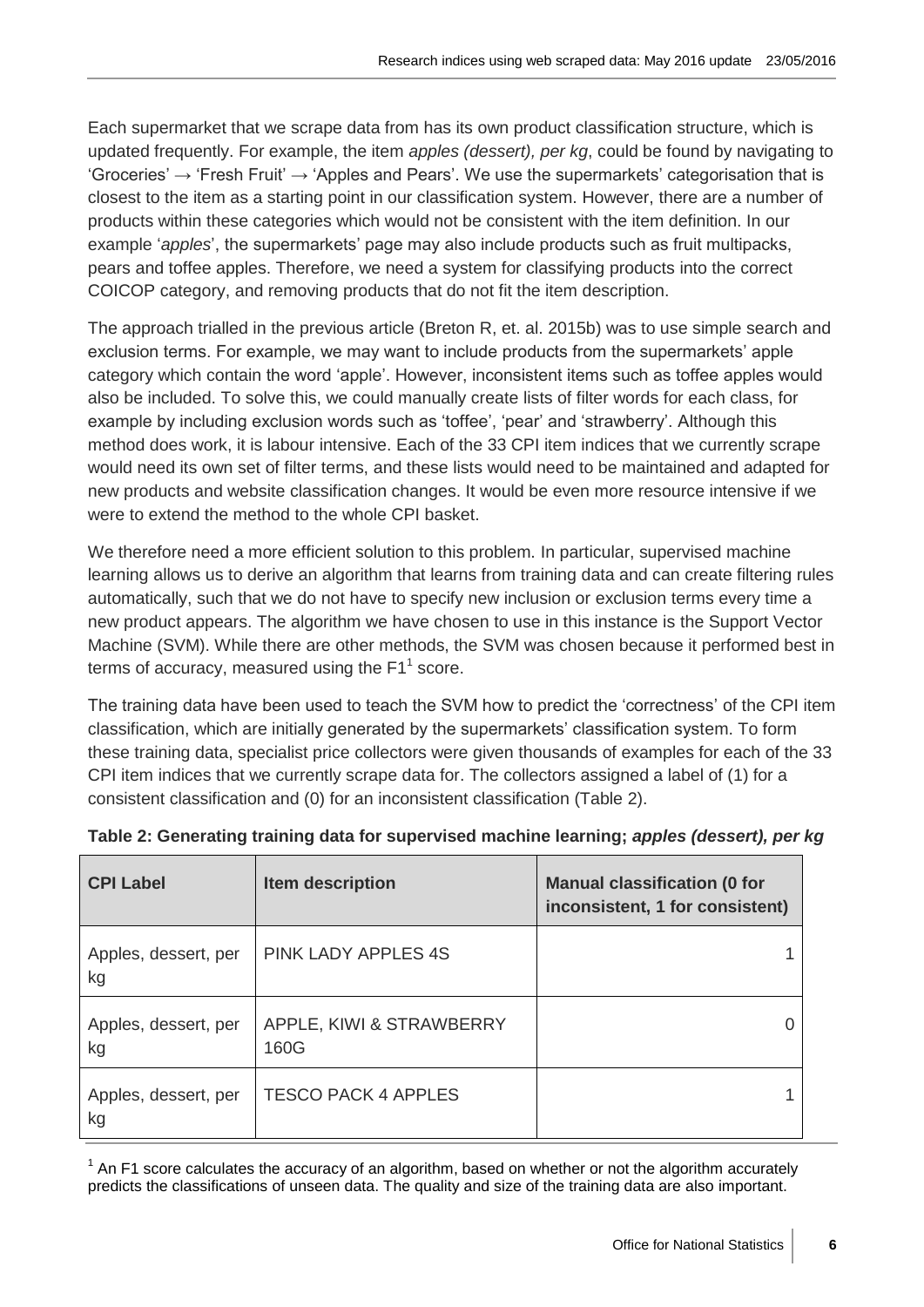Each supermarket that we scrape data from has its own product classification structure, which is updated frequently. For example, the item *apples (dessert), per kg*, could be found by navigating to 'Groceries'  $\rightarrow$  'Fresh Fruit'  $\rightarrow$  'Apples and Pears'. We use the supermarkets' categorisation that is closest to the item as a starting point in our classification system. However, there are a number of products within these categories which would not be consistent with the item definition. In our example '*apples*', the supermarkets' page may also include products such as fruit multipacks, pears and toffee apples. Therefore, we need a system for classifying products into the correct COICOP category, and removing products that do not fit the item description.

The approach trialled in the previous article (Breton R, et. al. 2015b) was to use simple search and exclusion terms. For example, we may want to include products from the supermarkets' apple category which contain the word 'apple'. However, inconsistent items such as toffee apples would also be included. To solve this, we could manually create lists of filter words for each class, for example by including exclusion words such as 'toffee', 'pear' and 'strawberry'. Although this method does work, it is labour intensive. Each of the 33 CPI item indices that we currently scrape would need its own set of filter terms, and these lists would need to be maintained and adapted for new products and website classification changes. It would be even more resource intensive if we were to extend the method to the whole CPI basket.

We therefore need a more efficient solution to this problem. In particular, supervised machine learning allows us to derive an algorithm that learns from training data and can create filtering rules automatically, such that we do not have to specify new inclusion or exclusion terms every time a new product appears. The algorithm we have chosen to use in this instance is the Support Vector Machine (SVM). While there are other methods, the SVM was chosen because it performed best in terms of accuracy, measured using the  $F1<sup>1</sup>$  score.

The training data have been used to teach the SVM how to predict the 'correctness' of the CPI item classification, which are initially generated by the supermarkets' classification system. To form these training data, specialist price collectors were given thousands of examples for each of the 33 CPI item indices that we currently scrape data for. The collectors assigned a label of (1) for a consistent classification and (0) for an inconsistent classification (Table 2).

| <b>CPI Label</b>           | Item description                 | <b>Manual classification (0 for</b><br>inconsistent, 1 for consistent) |
|----------------------------|----------------------------------|------------------------------------------------------------------------|
| Apples, dessert, per<br>kg | <b>PINK LADY APPLES 4S</b>       |                                                                        |
| Apples, dessert, per<br>kg | APPLE, KIWI & STRAWBERRY<br>160G |                                                                        |
| Apples, dessert, per<br>kg | <b>TESCO PACK 4 APPLES</b>       |                                                                        |

# **Table 2: Generating training data for supervised machine learning;** *apples (dessert), per kg*

 $1$  An F1 score calculates the accuracy of an algorithm, based on whether or not the algorithm accurately predicts the classifications of unseen data. The quality and size of the training data are also important.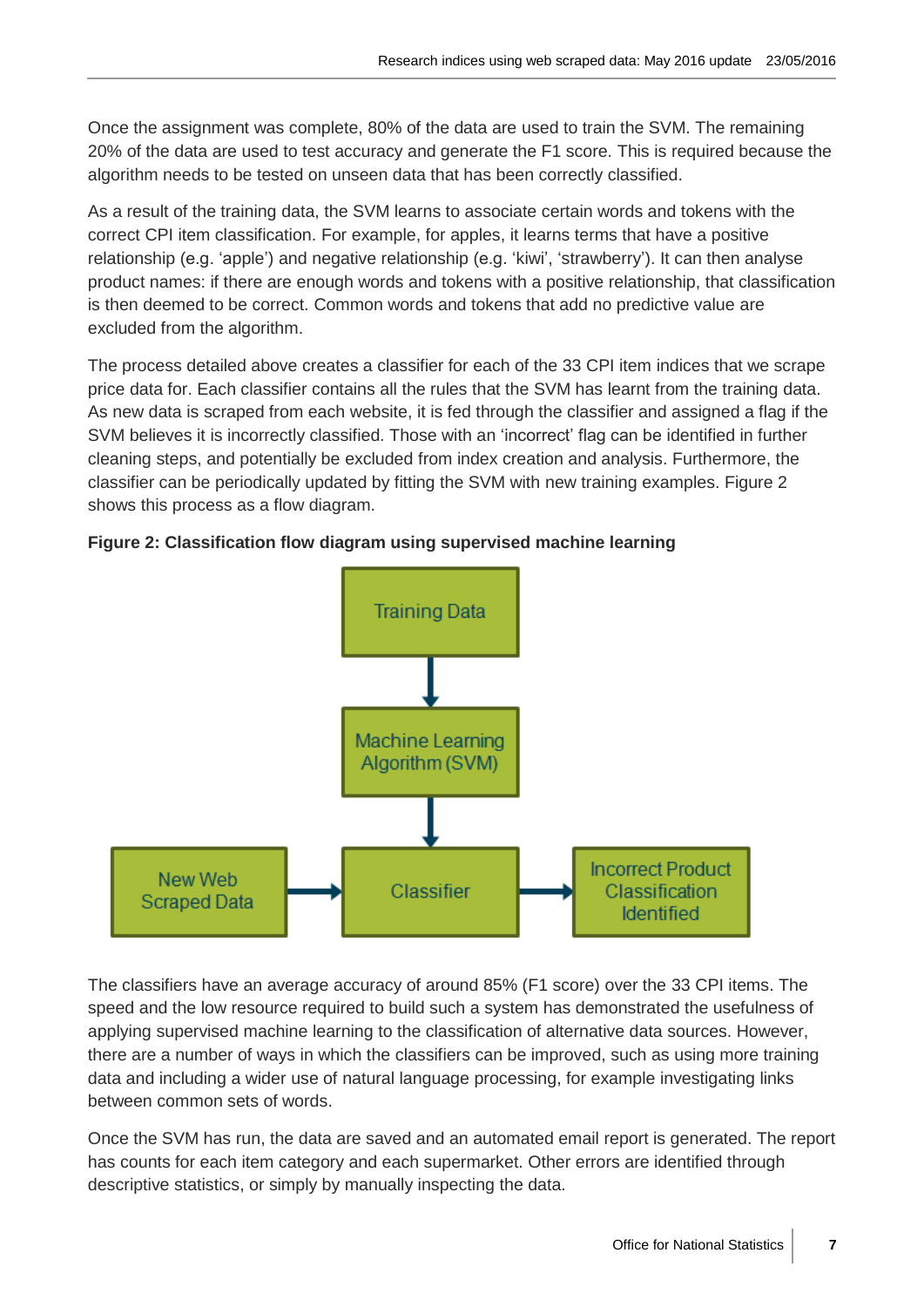Once the assignment was complete, 80% of the data are used to train the SVM. The remaining 20% of the data are used to test accuracy and generate the F1 score. This is required because the algorithm needs to be tested on unseen data that has been correctly classified.

As a result of the training data, the SVM learns to associate certain words and tokens with the correct CPI item classification. For example, for apples, it learns terms that have a positive relationship (e.g. 'apple') and negative relationship (e.g. 'kiwi', 'strawberry'). It can then analyse product names: if there are enough words and tokens with a positive relationship, that classification is then deemed to be correct. Common words and tokens that add no predictive value are excluded from the algorithm.

The process detailed above creates a classifier for each of the 33 CPI item indices that we scrape price data for. Each classifier contains all the rules that the SVM has learnt from the training data. As new data is scraped from each website, it is fed through the classifier and assigned a flag if the SVM believes it is incorrectly classified. Those with an 'incorrect' flag can be identified in further cleaning steps, and potentially be excluded from index creation and analysis. Furthermore, the classifier can be periodically updated by fitting the SVM with new training examples. Figure 2 shows this process as a flow diagram.





The classifiers have an average accuracy of around 85% (F1 score) over the 33 CPI items. The speed and the low resource required to build such a system has demonstrated the usefulness of applying supervised machine learning to the classification of alternative data sources. However, there are a number of ways in which the classifiers can be improved, such as using more training data and including a wider use of natural language processing, for example investigating links between common sets of words.

Once the SVM has run, the data are saved and an automated email report is generated. The report has counts for each item category and each supermarket. Other errors are identified through descriptive statistics, or simply by manually inspecting the data.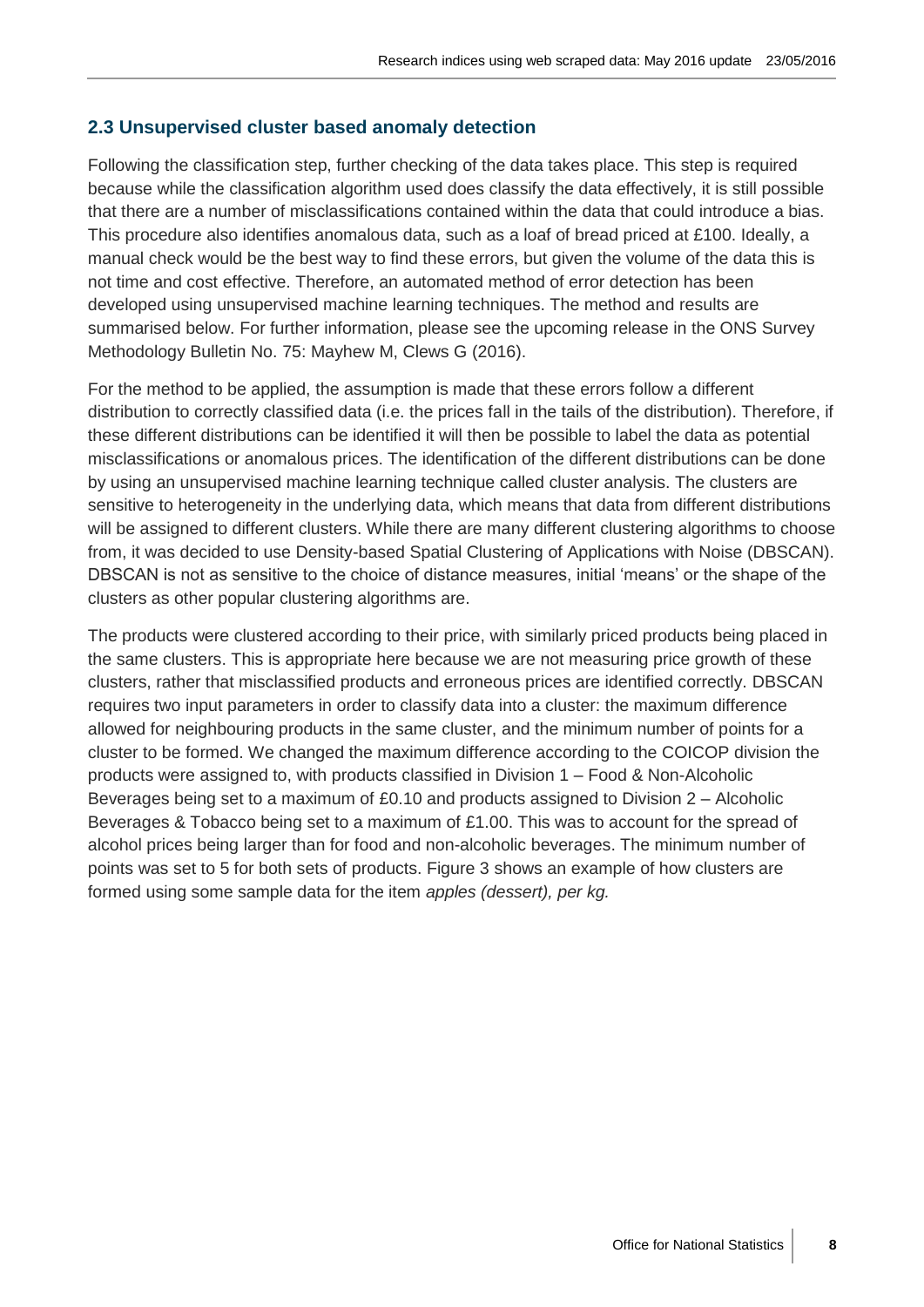#### **2.3 Unsupervised cluster based anomaly detection**

Following the classification step, further checking of the data takes place. This step is required because while the classification algorithm used does classify the data effectively, it is still possible that there are a number of misclassifications contained within the data that could introduce a bias. This procedure also identifies anomalous data, such as a loaf of bread priced at £100. Ideally, a manual check would be the best way to find these errors, but given the volume of the data this is not time and cost effective. Therefore, an automated method of error detection has been developed using unsupervised machine learning techniques. The method and results are summarised below. For further information, please see the upcoming release in the ONS Survey Methodology Bulletin No. 75: Mayhew M, Clews G (2016).

For the method to be applied, the assumption is made that these errors follow a different distribution to correctly classified data (i.e. the prices fall in the tails of the distribution). Therefore, if these different distributions can be identified it will then be possible to label the data as potential misclassifications or anomalous prices. The identification of the different distributions can be done by using an unsupervised machine learning technique called cluster analysis. The clusters are sensitive to heterogeneity in the underlying data, which means that data from different distributions will be assigned to different clusters. While there are many different clustering algorithms to choose from, it was decided to use Density-based Spatial Clustering of Applications with Noise (DBSCAN). DBSCAN is not as sensitive to the choice of distance measures, initial 'means' or the shape of the clusters as other popular clustering algorithms are.

The products were clustered according to their price, with similarly priced products being placed in the same clusters. This is appropriate here because we are not measuring price growth of these clusters, rather that misclassified products and erroneous prices are identified correctly. DBSCAN requires two input parameters in order to classify data into a cluster: the maximum difference allowed for neighbouring products in the same cluster, and the minimum number of points for a cluster to be formed. We changed the maximum difference according to the COICOP division the products were assigned to, with products classified in Division 1 – Food & Non-Alcoholic Beverages being set to a maximum of £0.10 and products assigned to Division 2 – Alcoholic Beverages & Tobacco being set to a maximum of £1.00. This was to account for the spread of alcohol prices being larger than for food and non-alcoholic beverages. The minimum number of points was set to 5 for both sets of products. Figure 3 shows an example of how clusters are formed using some sample data for the item *apples (dessert), per kg.*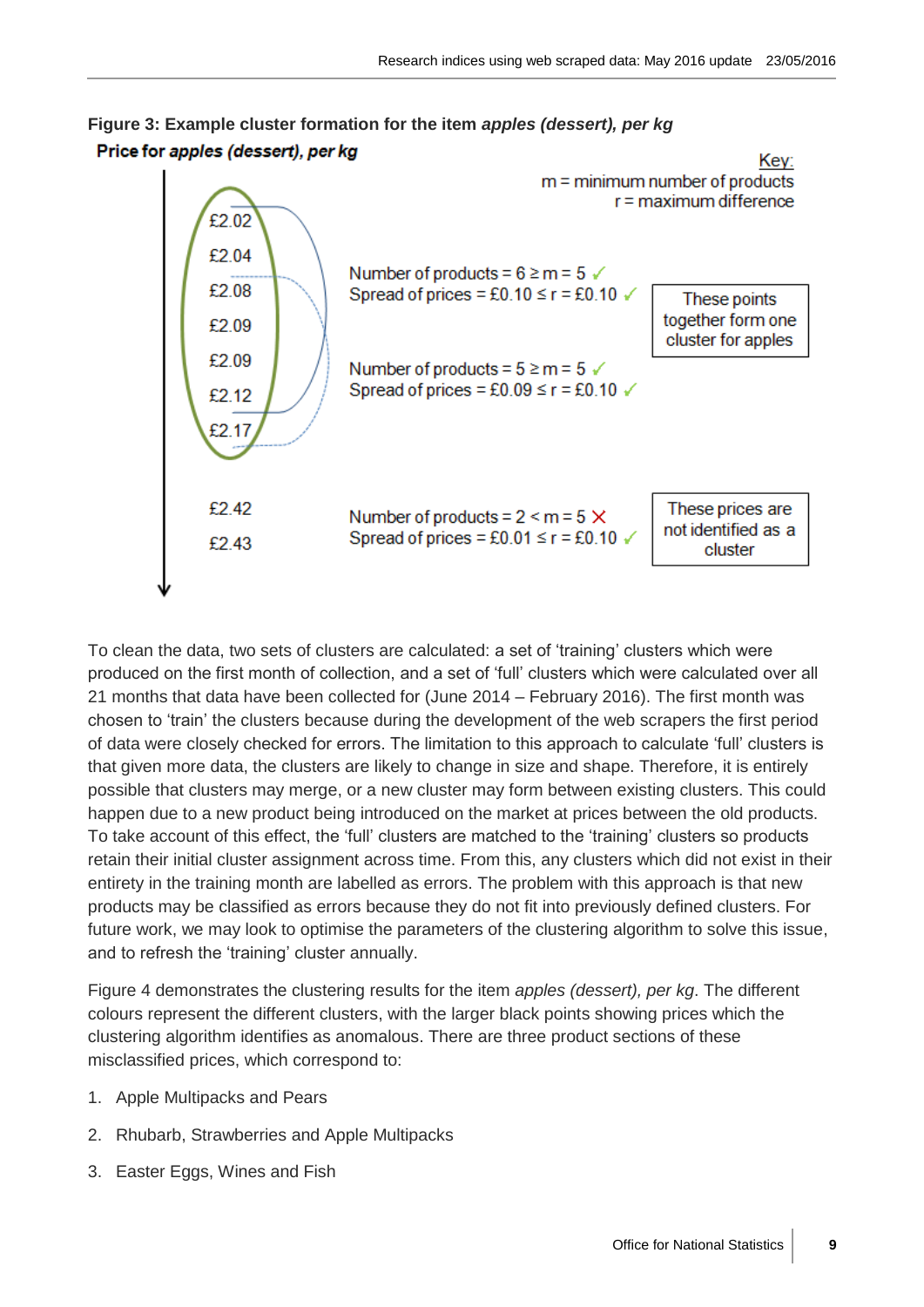



To clean the data, two sets of clusters are calculated: a set of 'training' clusters which were produced on the first month of collection, and a set of 'full' clusters which were calculated over all 21 months that data have been collected for (June 2014 – February 2016). The first month was chosen to 'train' the clusters because during the development of the web scrapers the first period of data were closely checked for errors. The limitation to this approach to calculate 'full' clusters is that given more data, the clusters are likely to change in size and shape. Therefore, it is entirely possible that clusters may merge, or a new cluster may form between existing clusters. This could happen due to a new product being introduced on the market at prices between the old products. To take account of this effect, the 'full' clusters are matched to the 'training' clusters so products retain their initial cluster assignment across time. From this, any clusters which did not exist in their entirety in the training month are labelled as errors. The problem with this approach is that new products may be classified as errors because they do not fit into previously defined clusters. For future work, we may look to optimise the parameters of the clustering algorithm to solve this issue, and to refresh the 'training' cluster annually.

Figure 4 demonstrates the clustering results for the item *apples (dessert), per kg*. The different colours represent the different clusters, with the larger black points showing prices which the clustering algorithm identifies as anomalous. There are three product sections of these misclassified prices, which correspond to:

- 1. Apple Multipacks and Pears
- 2. Rhubarb, Strawberries and Apple Multipacks
- 3. Easter Eggs, Wines and Fish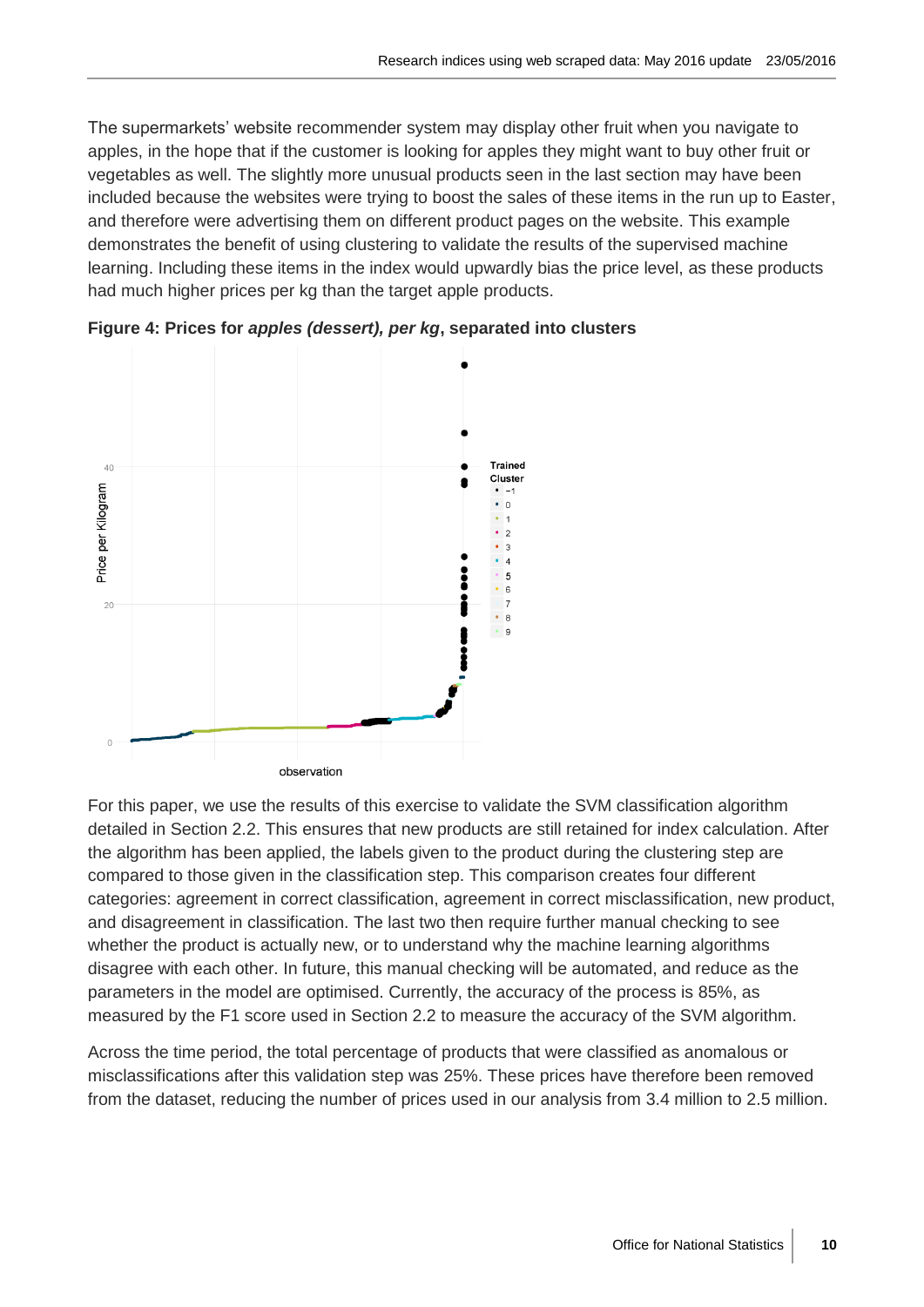The supermarkets' website recommender system may display other fruit when you navigate to apples, in the hope that if the customer is looking for apples they might want to buy other fruit or vegetables as well. The slightly more unusual products seen in the last section may have been included because the websites were trying to boost the sales of these items in the run up to Easter, and therefore were advertising them on different product pages on the website. This example demonstrates the benefit of using clustering to validate the results of the supervised machine learning. Including these items in the index would upwardly bias the price level, as these products had much higher prices per kg than the target apple products.



**Figure 4: Prices for** *apples (dessert), per kg***, separated into clusters**

For this paper, we use the results of this exercise to validate the SVM classification algorithm detailed in Section 2.2. This ensures that new products are still retained for index calculation. After the algorithm has been applied, the labels given to the product during the clustering step are compared to those given in the classification step. This comparison creates four different categories: agreement in correct classification, agreement in correct misclassification, new product, and disagreement in classification. The last two then require further manual checking to see whether the product is actually new, or to understand why the machine learning algorithms disagree with each other. In future, this manual checking will be automated, and reduce as the parameters in the model are optimised. Currently, the accuracy of the process is 85%, as measured by the F1 score used in Section 2.2 to measure the accuracy of the SVM algorithm.

Across the time period, the total percentage of products that were classified as anomalous or misclassifications after this validation step was 25%. These prices have therefore been removed from the dataset, reducing the number of prices used in our analysis from 3.4 million to 2.5 million.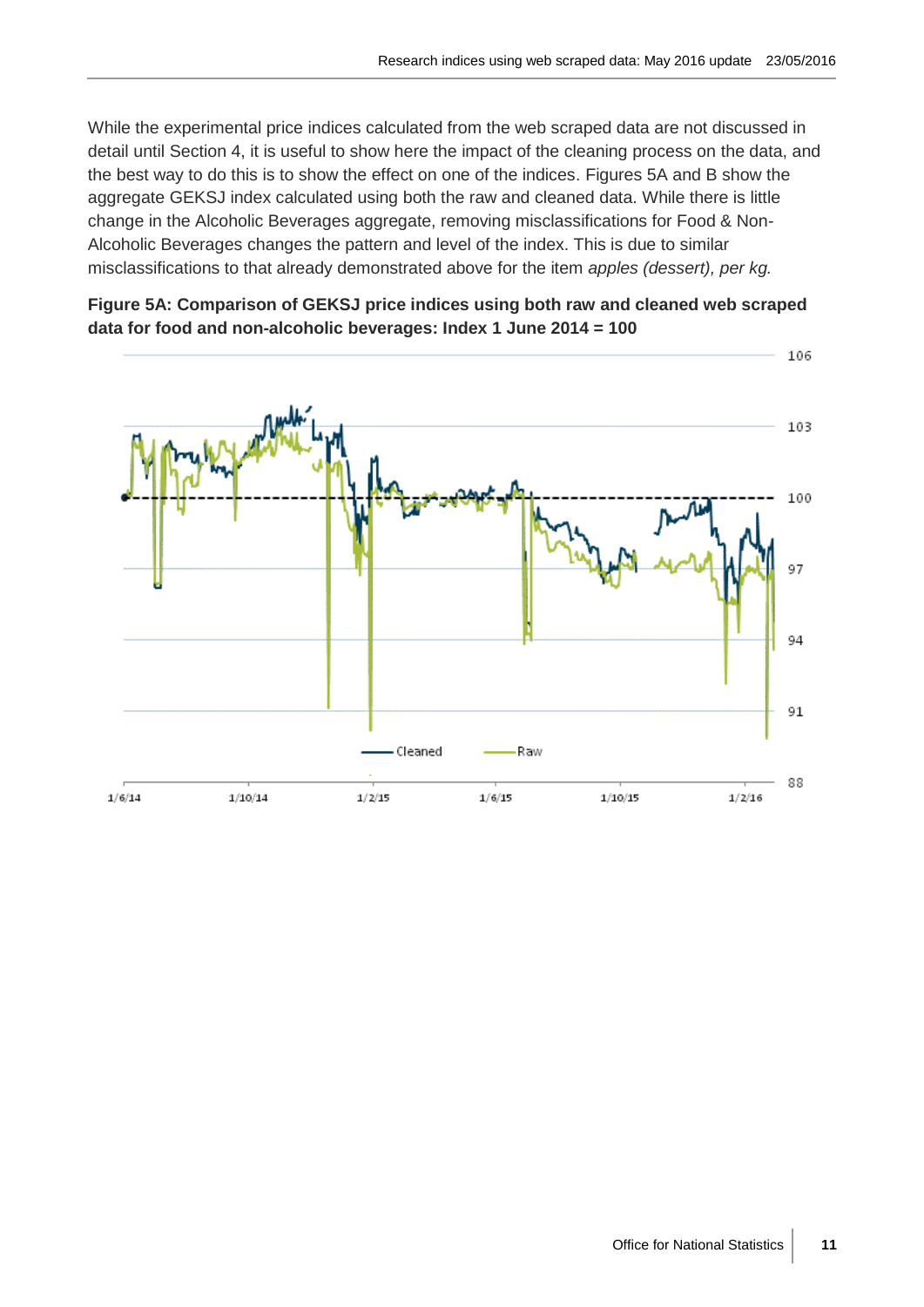While the experimental price indices calculated from the web scraped data are not discussed in detail until Section 4, it is useful to show here the impact of the cleaning process on the data, and the best way to do this is to show the effect on one of the indices. Figures 5A and B show the aggregate GEKSJ index calculated using both the raw and cleaned data. While there is little change in the Alcoholic Beverages aggregate, removing misclassifications for Food & Non-Alcoholic Beverages changes the pattern and level of the index. This is due to similar misclassifications to that already demonstrated above for the item *apples (dessert), per kg.* 



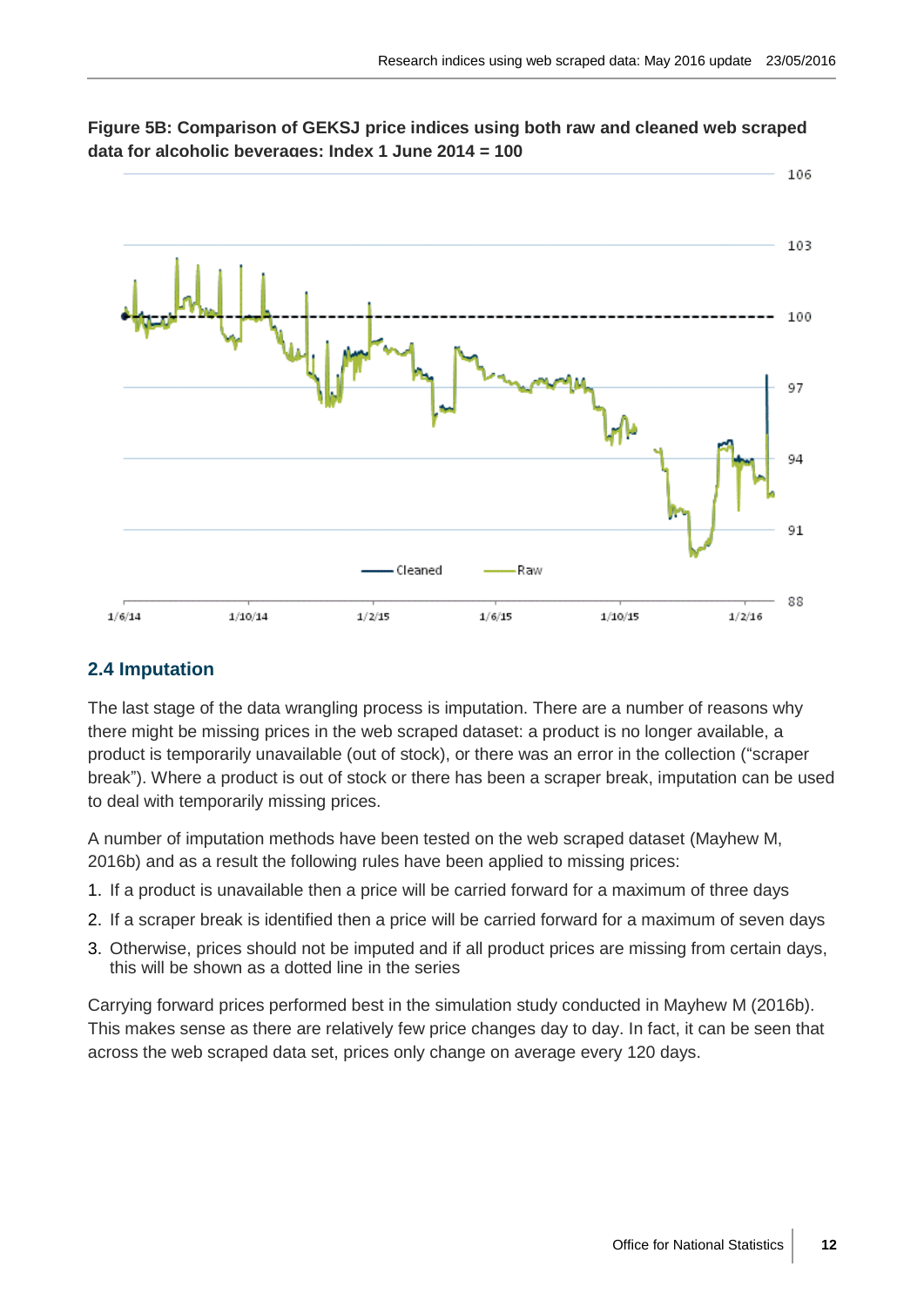

**Figure 5B: Comparison of GEKSJ price indices using both raw and cleaned web scraped data for alcoholic beverages: Index 1 June 2014 = 100**

# **2.4 Imputation**

The last stage of the data wrangling process is imputation. There are a number of reasons why there might be missing prices in the web scraped dataset: a product is no longer available, a product is temporarily unavailable (out of stock), or there was an error in the collection ("scraper break"). Where a product is out of stock or there has been a scraper break, imputation can be used to deal with temporarily missing prices.

A number of imputation methods have been tested on the web scraped dataset (Mayhew M, 2016b) and as a result the following rules have been applied to missing prices:

- 1. If a product is unavailable then a price will be carried forward for a maximum of three days
- 2. If a scraper break is identified then a price will be carried forward for a maximum of seven days
- 3. Otherwise, prices should not be imputed and if all product prices are missing from certain days, this will be shown as a dotted line in the series

Carrying forward prices performed best in the simulation study conducted in Mayhew M (2016b). This makes sense as there are relatively few price changes day to day. In fact, it can be seen that across the web scraped data set, prices only change on average every 120 days.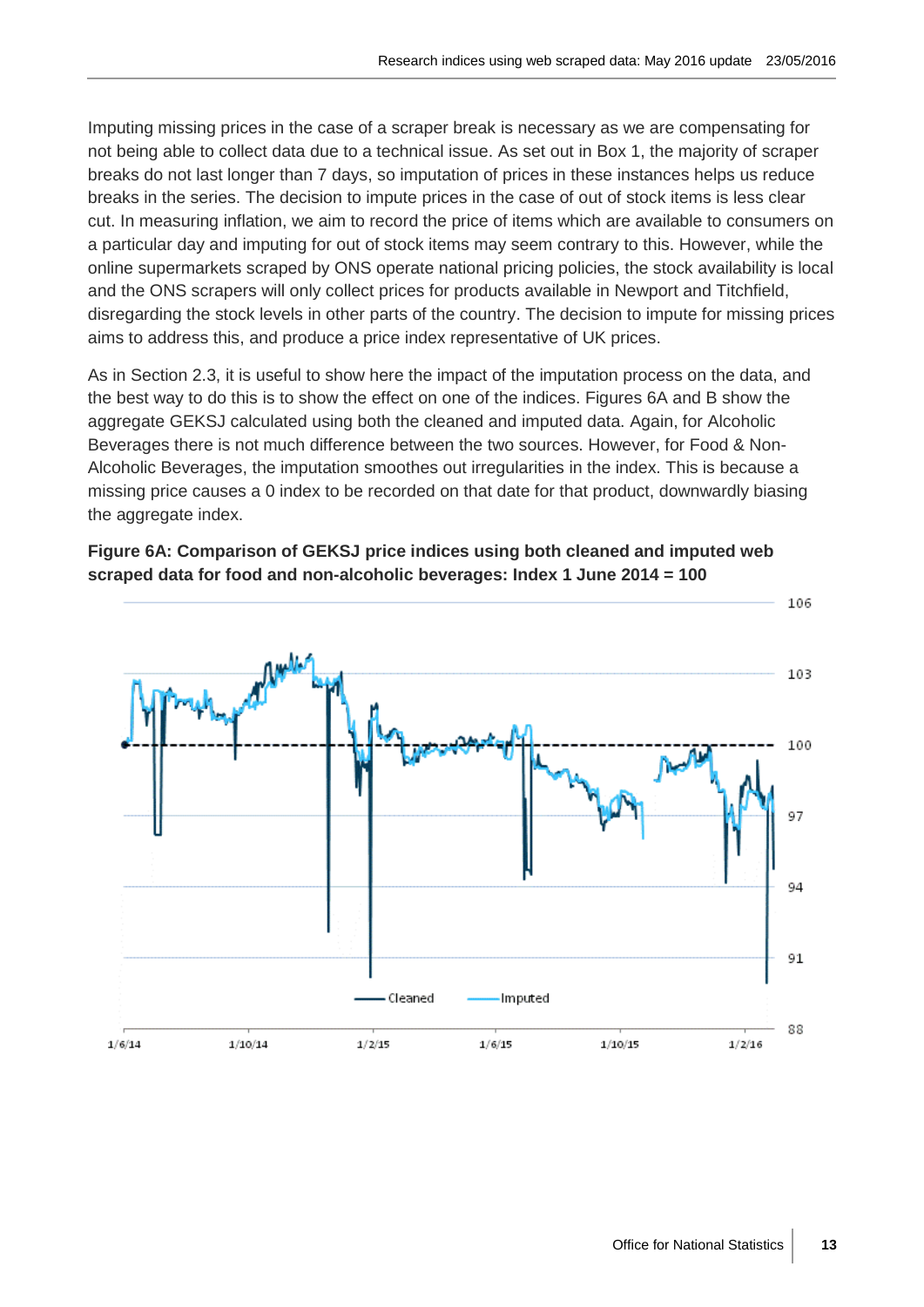Imputing missing prices in the case of a scraper break is necessary as we are compensating for not being able to collect data due to a technical issue. As set out in Box 1, the majority of scraper breaks do not last longer than 7 days, so imputation of prices in these instances helps us reduce breaks in the series. The decision to impute prices in the case of out of stock items is less clear cut. In measuring inflation, we aim to record the price of items which are available to consumers on a particular day and imputing for out of stock items may seem contrary to this. However, while the online supermarkets scraped by ONS operate national pricing policies, the stock availability is local and the ONS scrapers will only collect prices for products available in Newport and Titchfield, disregarding the stock levels in other parts of the country. The decision to impute for missing prices aims to address this, and produce a price index representative of UK prices.

As in Section 2.3, it is useful to show here the impact of the imputation process on the data, and the best way to do this is to show the effect on one of the indices. Figures 6A and B show the aggregate GEKSJ calculated using both the cleaned and imputed data. Again, for Alcoholic Beverages there is not much difference between the two sources. However, for Food & Non-Alcoholic Beverages, the imputation smoothes out irregularities in the index. This is because a missing price causes a 0 index to be recorded on that date for that product, downwardly biasing the aggregate index.

**Figure 6A: Comparison of GEKSJ price indices using both cleaned and imputed web scraped data for food and non-alcoholic beverages: Index 1 June 2014 = 100**

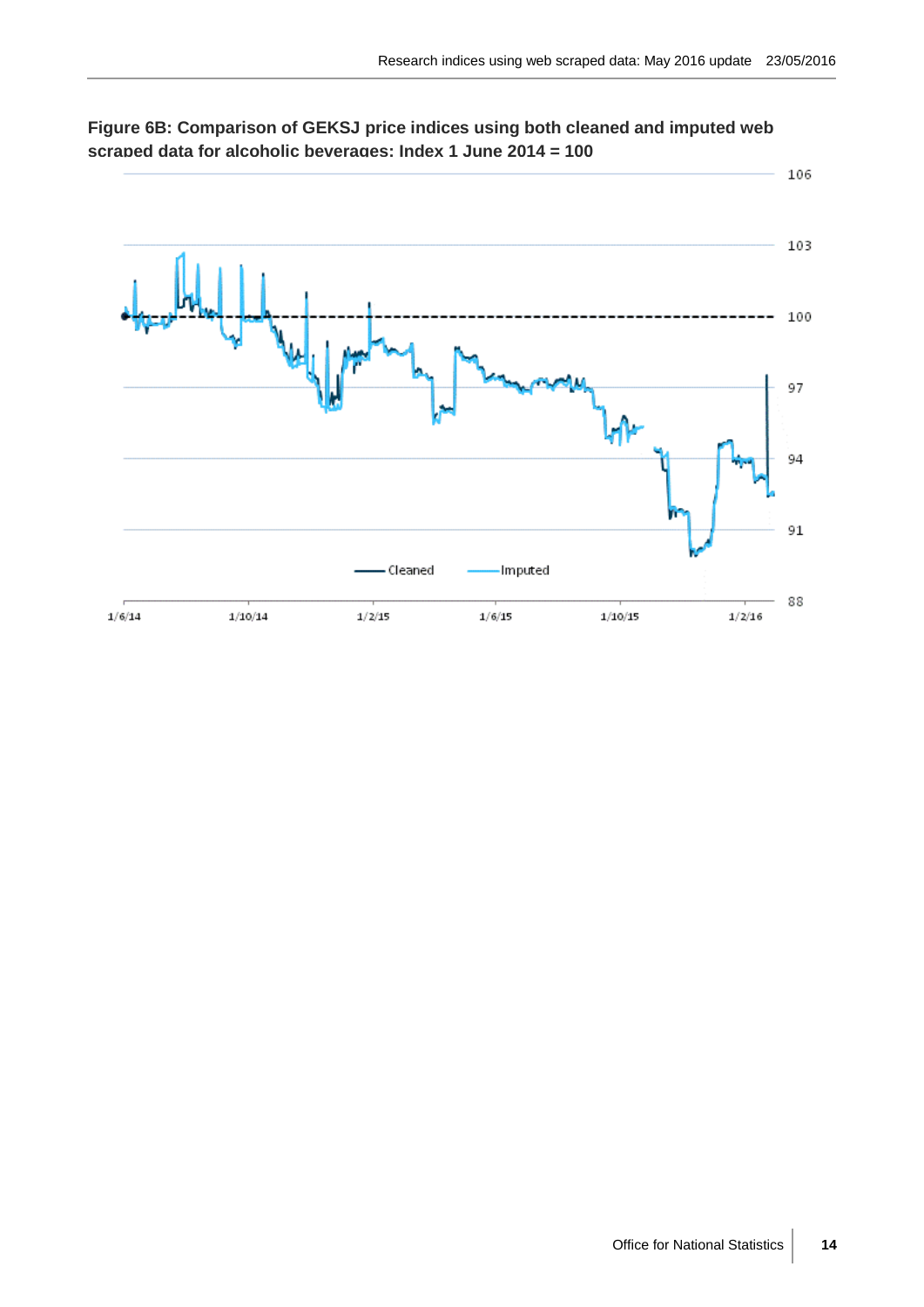

**Figure 6B: Comparison of GEKSJ price indices using both cleaned and imputed web scraped data for alcoholic beverages: Index 1 June 2014 = 100**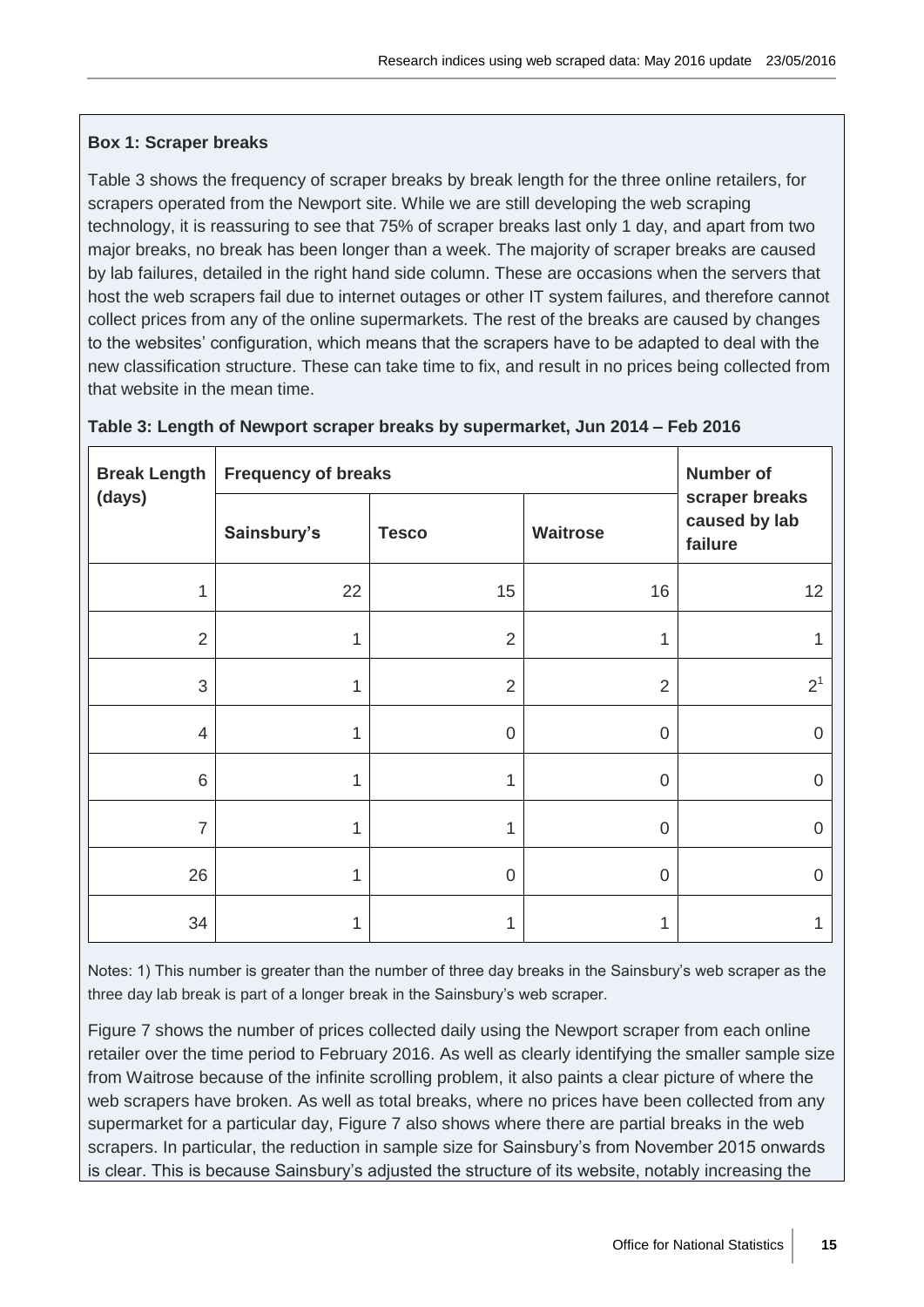## **Box 1: Scraper breaks**

Table 3 shows the frequency of scraper breaks by break length for the three online retailers, for scrapers operated from the Newport site. While we are still developing the web scraping technology, it is reassuring to see that 75% of scraper breaks last only 1 day, and apart from two major breaks, no break has been longer than a week. The majority of scraper breaks are caused by lab failures, detailed in the right hand side column. These are occasions when the servers that host the web scrapers fail due to internet outages or other IT system failures, and therefore cannot collect prices from any of the online supermarkets. The rest of the breaks are caused by changes to the websites' configuration, which means that the scrapers have to be adapted to deal with the new classification structure. These can take time to fix, and result in no prices being collected from that website in the mean time.

| <b>Break Length</b> | <b>Frequency of breaks</b> | <b>Number of</b> |                |                                            |
|---------------------|----------------------------|------------------|----------------|--------------------------------------------|
| (days)              | Sainsbury's                | <b>Tesco</b>     | Waitrose       | scraper breaks<br>caused by lab<br>failure |
| 1                   | 22                         | 15               | 16             | 12                                         |
| $\overline{2}$      | 1                          | $\overline{2}$   | 1              | 1                                          |
| 3                   | 1                          | $\overline{2}$   | $\overline{2}$ | 2 <sup>1</sup>                             |
| 4                   | 1                          | $\mathbf 0$      | $\mathbf 0$    | $\overline{0}$                             |
| $6\phantom{1}6$     | 1                          | 1                | $\overline{0}$ | $\overline{0}$                             |
| $\overline{7}$      | 1                          | 1                | $\mathbf 0$    | $\overline{0}$                             |
| 26                  | 1                          | $\mathbf 0$      | $\overline{0}$ | $\overline{0}$                             |
| 34                  | 1                          | 1                | $\mathbf{1}$   | 1                                          |

#### **Table 3: Length of Newport scraper breaks by supermarket, Jun 2014 – Feb 2016**

Notes: 1) This number is greater than the number of three day breaks in the Sainsbury's web scraper as the three day lab break is part of a longer break in the Sainsbury's web scraper.

Figure 7 shows the number of prices collected daily using the Newport scraper from each online retailer over the time period to February 2016. As well as clearly identifying the smaller sample size from Waitrose because of the infinite scrolling problem, it also paints a clear picture of where the web scrapers have broken. As well as total breaks, where no prices have been collected from any supermarket for a particular day, Figure 7 also shows where there are partial breaks in the web scrapers. In particular, the reduction in sample size for Sainsbury's from November 2015 onwards is clear. This is because Sainsbury's adjusted the structure of its website, notably increasing the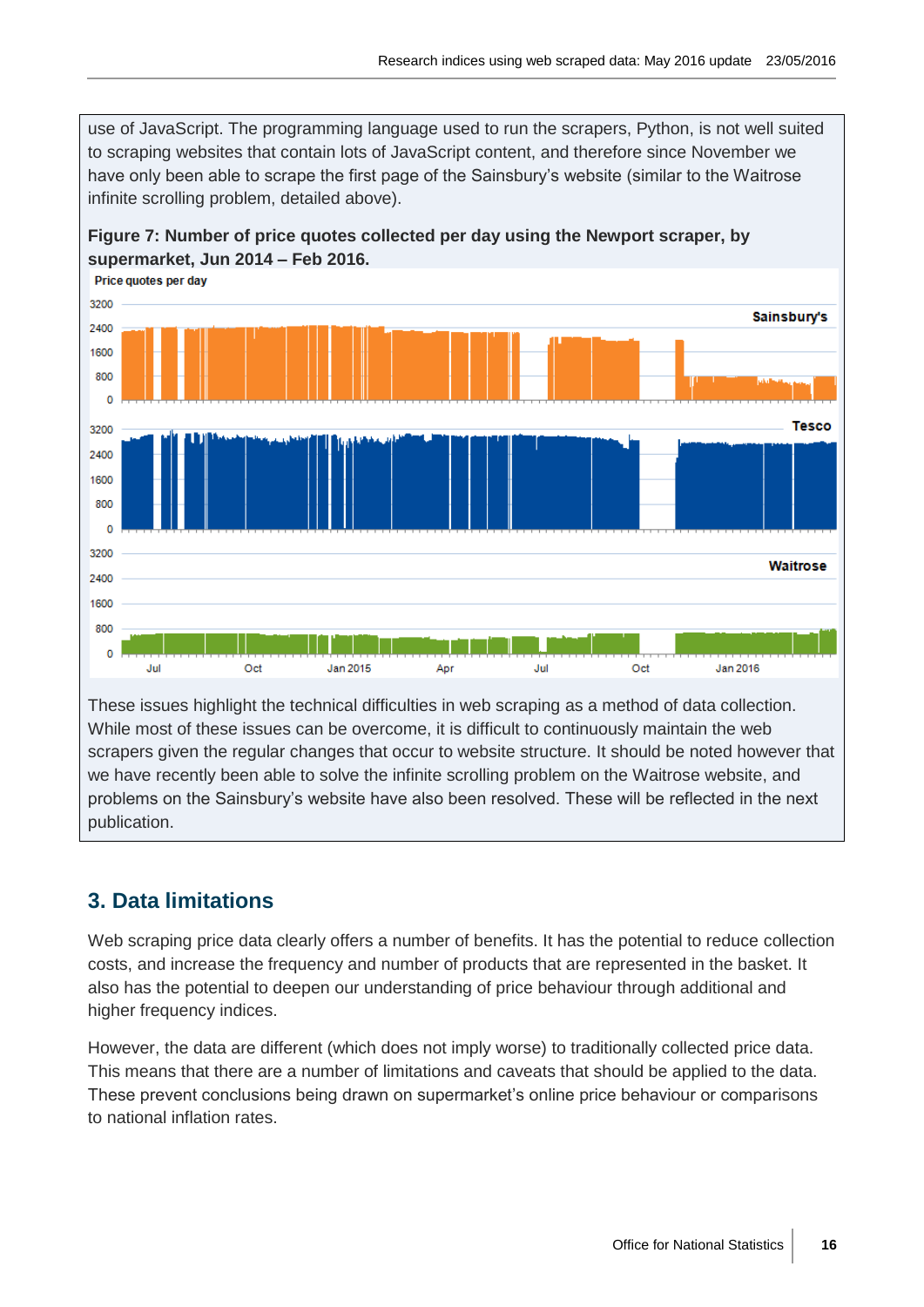use of JavaScript. The programming language used to run the scrapers, Python, is not well suited to scraping websites that contain lots of JavaScript content, and therefore since November we have only been able to scrape the first page of the Sainsbury's website (similar to the Waitrose infinite scrolling problem, detailed above).



**Figure 7: Number of price quotes collected per day using the Newport scraper, by supermarket, Jun 2014 – Feb 2016.**

These issues highlight the technical difficulties in web scraping as a method of data collection. While most of these issues can be overcome, it is difficult to continuously maintain the web scrapers given the regular changes that occur to website structure. It should be noted however that we have recently been able to solve the infinite scrolling problem on the Waitrose website, and problems on the Sainsbury's website have also been resolved. These will be reflected in the next publication.

# **3. Data limitations**

Web scraping price data clearly offers a number of benefits. It has the potential to reduce collection costs, and increase the frequency and number of products that are represented in the basket. It also has the potential to deepen our understanding of price behaviour through additional and higher frequency indices.

However, the data are different (which does not imply worse) to traditionally collected price data. This means that there are a number of limitations and caveats that should be applied to the data. These prevent conclusions being drawn on supermarket's online price behaviour or comparisons to national inflation rates.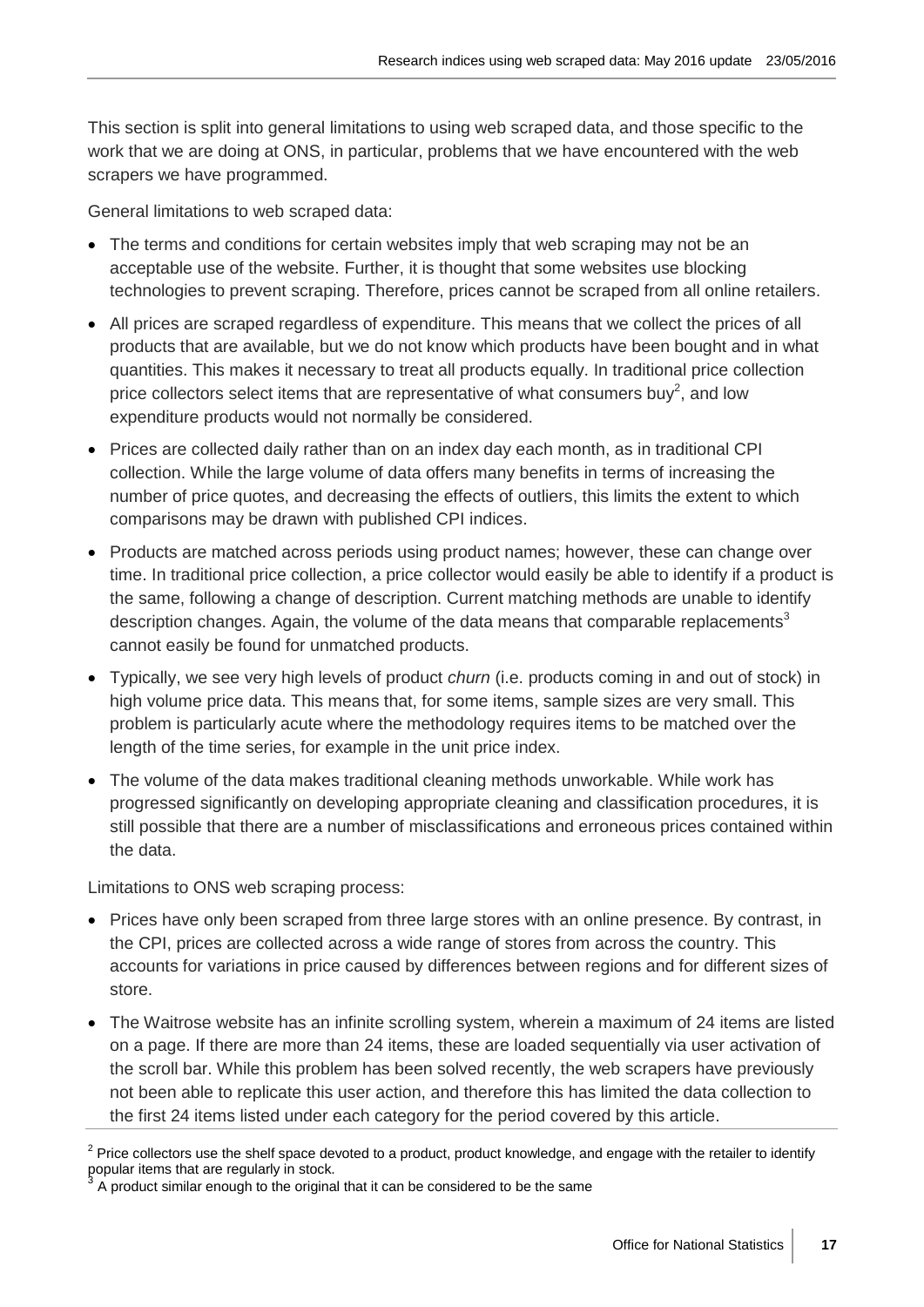This section is split into general limitations to using web scraped data, and those specific to the work that we are doing at ONS, in particular, problems that we have encountered with the web scrapers we have programmed.

General limitations to web scraped data:

- The terms and conditions for certain websites imply that web scraping may not be an acceptable use of the website. Further, it is thought that some websites use blocking technologies to prevent scraping. Therefore, prices cannot be scraped from all online retailers.
- All prices are scraped regardless of expenditure. This means that we collect the prices of all products that are available, but we do not know which products have been bought and in what quantities. This makes it necessary to treat all products equally. In traditional price collection price collectors select items that are representative of what consumers buy<sup>2</sup>, and low expenditure products would not normally be considered.
- Prices are collected daily rather than on an index day each month, as in traditional CPI collection. While the large volume of data offers many benefits in terms of increasing the number of price quotes, and decreasing the effects of outliers, this limits the extent to which comparisons may be drawn with published CPI indices.
- Products are matched across periods using product names; however, these can change over time. In traditional price collection, a price collector would easily be able to identify if a product is the same, following a change of description. Current matching methods are unable to identify description changes. Again, the volume of the data means that comparable replacements<sup>3</sup> cannot easily be found for unmatched products.
- Typically, we see very high levels of product *churn* (i.e. products coming in and out of stock) in high volume price data. This means that, for some items, sample sizes are very small. This problem is particularly acute where the methodology requires items to be matched over the length of the time series, for example in the unit price index.
- The volume of the data makes traditional cleaning methods unworkable. While work has progressed significantly on developing appropriate cleaning and classification procedures, it is still possible that there are a number of misclassifications and erroneous prices contained within the data.

Limitations to ONS web scraping process:

- Prices have only been scraped from three large stores with an online presence. By contrast, in the CPI, prices are collected across a wide range of stores from across the country. This accounts for variations in price caused by differences between regions and for different sizes of store.
- The Waitrose website has an infinite scrolling system, wherein a maximum of 24 items are listed on a page. If there are more than 24 items, these are loaded sequentially via user activation of the scroll bar. While this problem has been solved recently, the web scrapers have previously not been able to replicate this user action, and therefore this has limited the data collection to the first 24 items listed under each category for the period covered by this article.

 $2$  Price collectors use the shelf space devoted to a product, product knowledge, and engage with the retailer to identify popular items that are regularly in stock.

A product similar enough to the original that it can be considered to be the same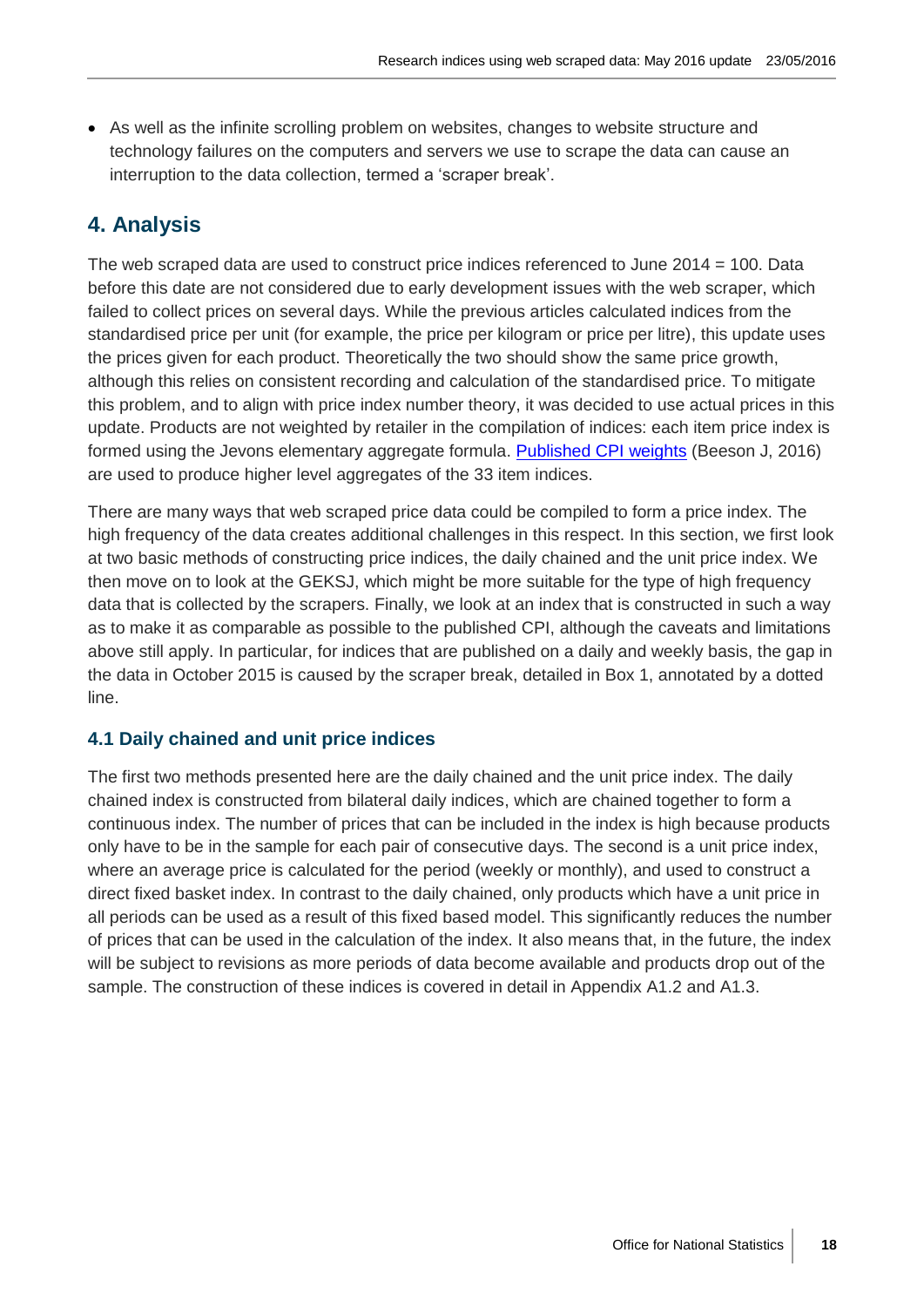• As well as the infinite scrolling problem on websites, changes to website structure and technology failures on the computers and servers we use to scrape the data can cause an interruption to the data collection, termed a 'scraper break'.

# **4. Analysis**

The web scraped data are used to construct price indices referenced to June 2014 = 100. Data before this date are not considered due to early development issues with the web scraper, which failed to collect prices on several days. While the previous articles calculated indices from the standardised price per unit (for example, the price per kilogram or price per litre), this update uses the prices given for each product. Theoretically the two should show the same price growth, although this relies on consistent recording and calculation of the standardised price. To mitigate this problem, and to align with price index number theory, it was decided to use actual prices in this update. Products are not weighted by retailer in the compilation of indices: each item price index is formed using the Jevons elementary aggregate formula. [Published CPI weights](https://www.ons.gov.uk/economy/inflationandpriceindices/articles/consumerpricesindexandretailpricesindexupdatingweights/2016) (Beeson J, 2016) are used to produce higher level aggregates of the 33 item indices.

There are many ways that web scraped price data could be compiled to form a price index. The high frequency of the data creates additional challenges in this respect. In this section, we first look at two basic methods of constructing price indices, the daily chained and the unit price index. We then move on to look at the GEKSJ, which might be more suitable for the type of high frequency data that is collected by the scrapers. Finally, we look at an index that is constructed in such a way as to make it as comparable as possible to the published CPI, although the caveats and limitations above still apply. In particular, for indices that are published on a daily and weekly basis, the gap in the data in October 2015 is caused by the scraper break, detailed in Box 1, annotated by a dotted line.

# **4.1 Daily chained and unit price indices**

The first two methods presented here are the daily chained and the unit price index. The daily chained index is constructed from bilateral daily indices, which are chained together to form a continuous index. The number of prices that can be included in the index is high because products only have to be in the sample for each pair of consecutive days. The second is a unit price index, where an average price is calculated for the period (weekly or monthly), and used to construct a direct fixed basket index. In contrast to the daily chained, only products which have a unit price in all periods can be used as a result of this fixed based model. This significantly reduces the number of prices that can be used in the calculation of the index. It also means that, in the future, the index will be subject to revisions as more periods of data become available and products drop out of the sample. The construction of these indices is covered in detail in Appendix A1.2 and A1.3.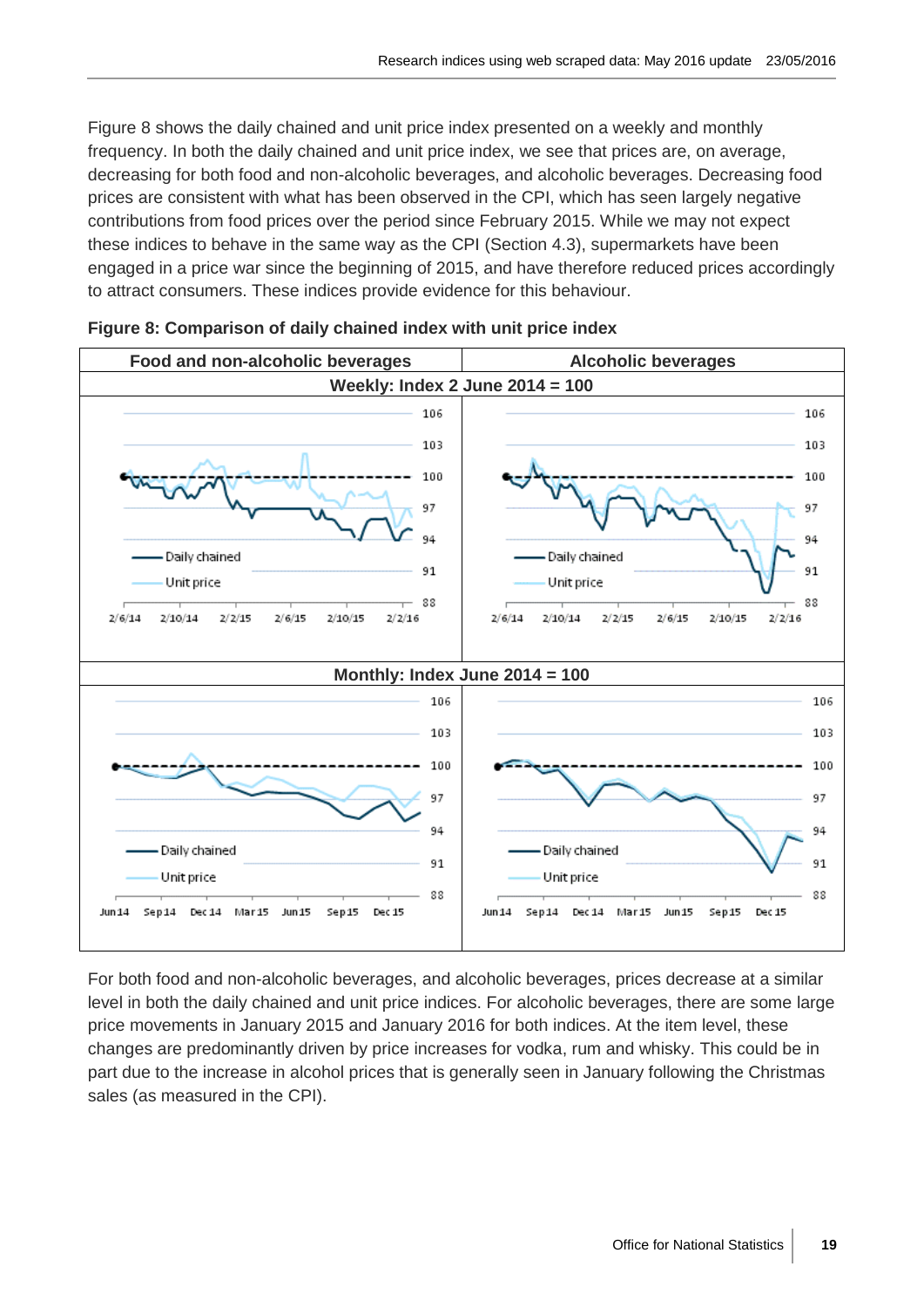Figure 8 shows the daily chained and unit price index presented on a weekly and monthly frequency. In both the daily chained and unit price index, we see that prices are, on average, decreasing for both food and non-alcoholic beverages, and alcoholic beverages. Decreasing food prices are consistent with what has been observed in the CPI, which has seen largely negative contributions from food prices over the period since February 2015. While we may not expect these indices to behave in the same way as the CPI (Section 4.3), supermarkets have been engaged in a price war since the beginning of 2015, and have therefore reduced prices accordingly to attract consumers. These indices provide evidence for this behaviour.





For both food and non-alcoholic beverages, and alcoholic beverages, prices decrease at a similar level in both the daily chained and unit price indices. For alcoholic beverages, there are some large price movements in January 2015 and January 2016 for both indices. At the item level, these changes are predominantly driven by price increases for vodka, rum and whisky. This could be in part due to the increase in alcohol prices that is generally seen in January following the Christmas sales (as measured in the CPI).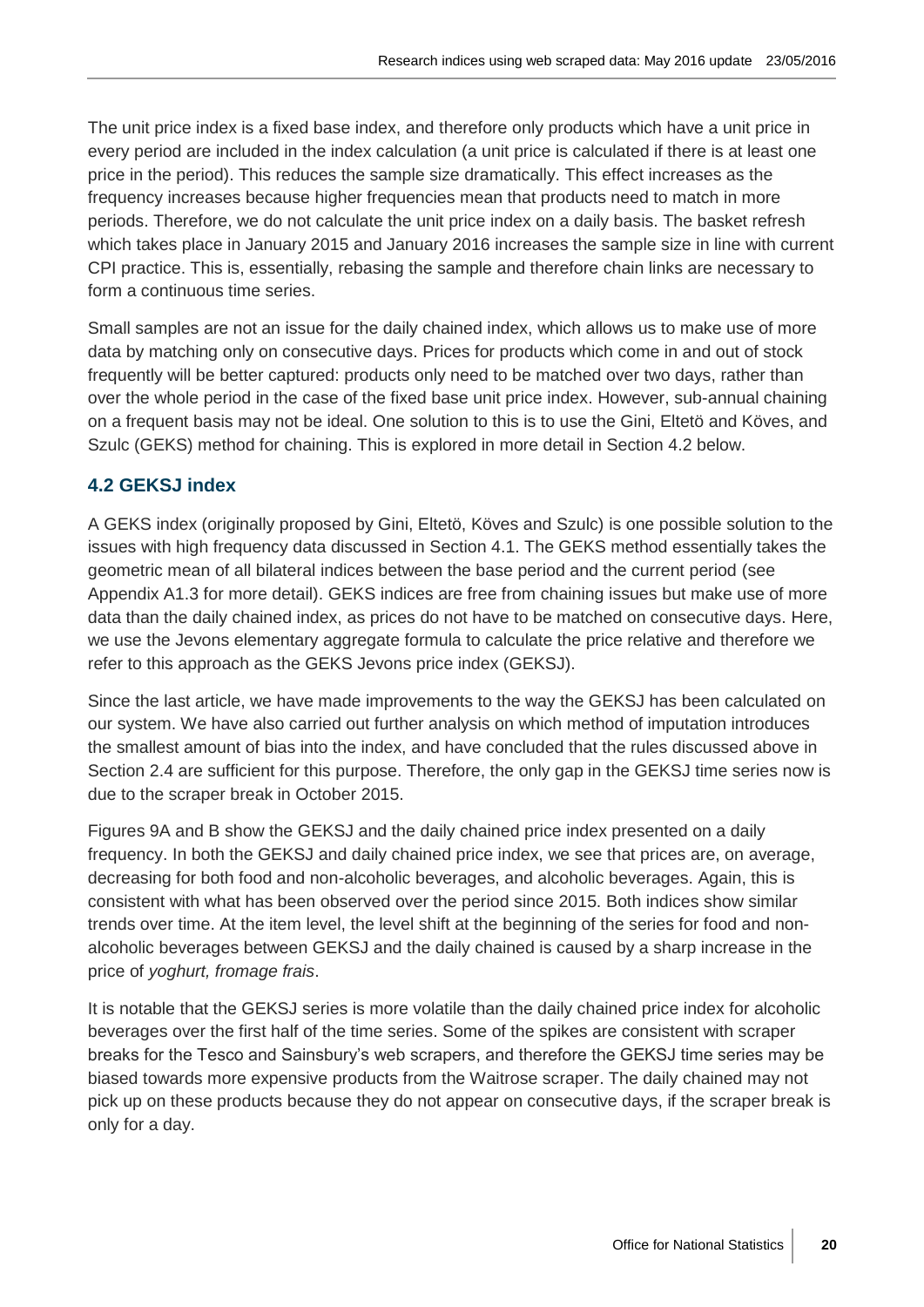The unit price index is a fixed base index, and therefore only products which have a unit price in every period are included in the index calculation (a unit price is calculated if there is at least one price in the period). This reduces the sample size dramatically. This effect increases as the frequency increases because higher frequencies mean that products need to match in more periods. Therefore, we do not calculate the unit price index on a daily basis. The basket refresh which takes place in January 2015 and January 2016 increases the sample size in line with current CPI practice. This is, essentially, rebasing the sample and therefore chain links are necessary to form a continuous time series.

Small samples are not an issue for the daily chained index, which allows us to make use of more data by matching only on consecutive days. Prices for products which come in and out of stock frequently will be better captured: products only need to be matched over two days, rather than over the whole period in the case of the fixed base unit price index. However, sub-annual chaining on a frequent basis may not be ideal. One solution to this is to use the Gini, Eltetö and Köves, and Szulc (GEKS) method for chaining. This is explored in more detail in Section 4.2 below.

# **4.2 GEKSJ index**

A GEKS index (originally proposed by Gini, Eltetö, Köves and Szulc) is one possible solution to the issues with high frequency data discussed in Section 4.1. The GEKS method essentially takes the geometric mean of all bilateral indices between the base period and the current period (see Appendix A1.3 for more detail). GEKS indices are free from chaining issues but make use of more data than the daily chained index, as prices do not have to be matched on consecutive days. Here, we use the Jevons elementary aggregate formula to calculate the price relative and therefore we refer to this approach as the GEKS Jevons price index (GEKSJ).

Since the last article, we have made improvements to the way the GEKSJ has been calculated on our system. We have also carried out further analysis on which method of imputation introduces the smallest amount of bias into the index, and have concluded that the rules discussed above in Section 2.4 are sufficient for this purpose. Therefore, the only gap in the GEKSJ time series now is due to the scraper break in October 2015.

Figures 9A and B show the GEKSJ and the daily chained price index presented on a daily frequency. In both the GEKSJ and daily chained price index, we see that prices are, on average, decreasing for both food and non-alcoholic beverages, and alcoholic beverages. Again, this is consistent with what has been observed over the period since 2015. Both indices show similar trends over time. At the item level, the level shift at the beginning of the series for food and nonalcoholic beverages between GEKSJ and the daily chained is caused by a sharp increase in the price of *yoghurt, fromage frais*.

It is notable that the GEKSJ series is more volatile than the daily chained price index for alcoholic beverages over the first half of the time series. Some of the spikes are consistent with scraper breaks for the Tesco and Sainsbury's web scrapers, and therefore the GEKSJ time series may be biased towards more expensive products from the Waitrose scraper. The daily chained may not pick up on these products because they do not appear on consecutive days, if the scraper break is only for a day.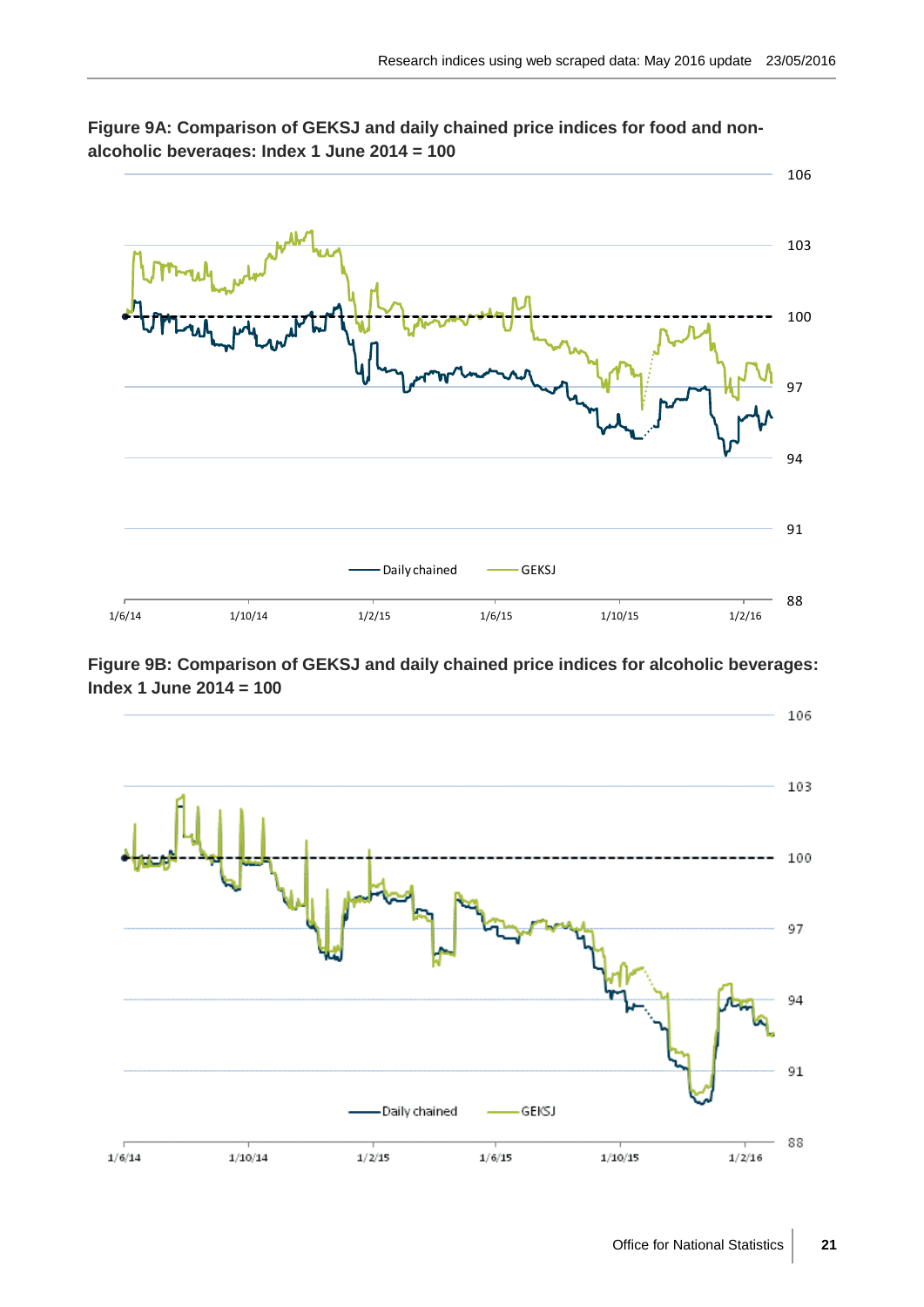



**Figure 9B: Comparison of GEKSJ and daily chained price indices for alcoholic beverages: Index 1 June 2014 = 100**

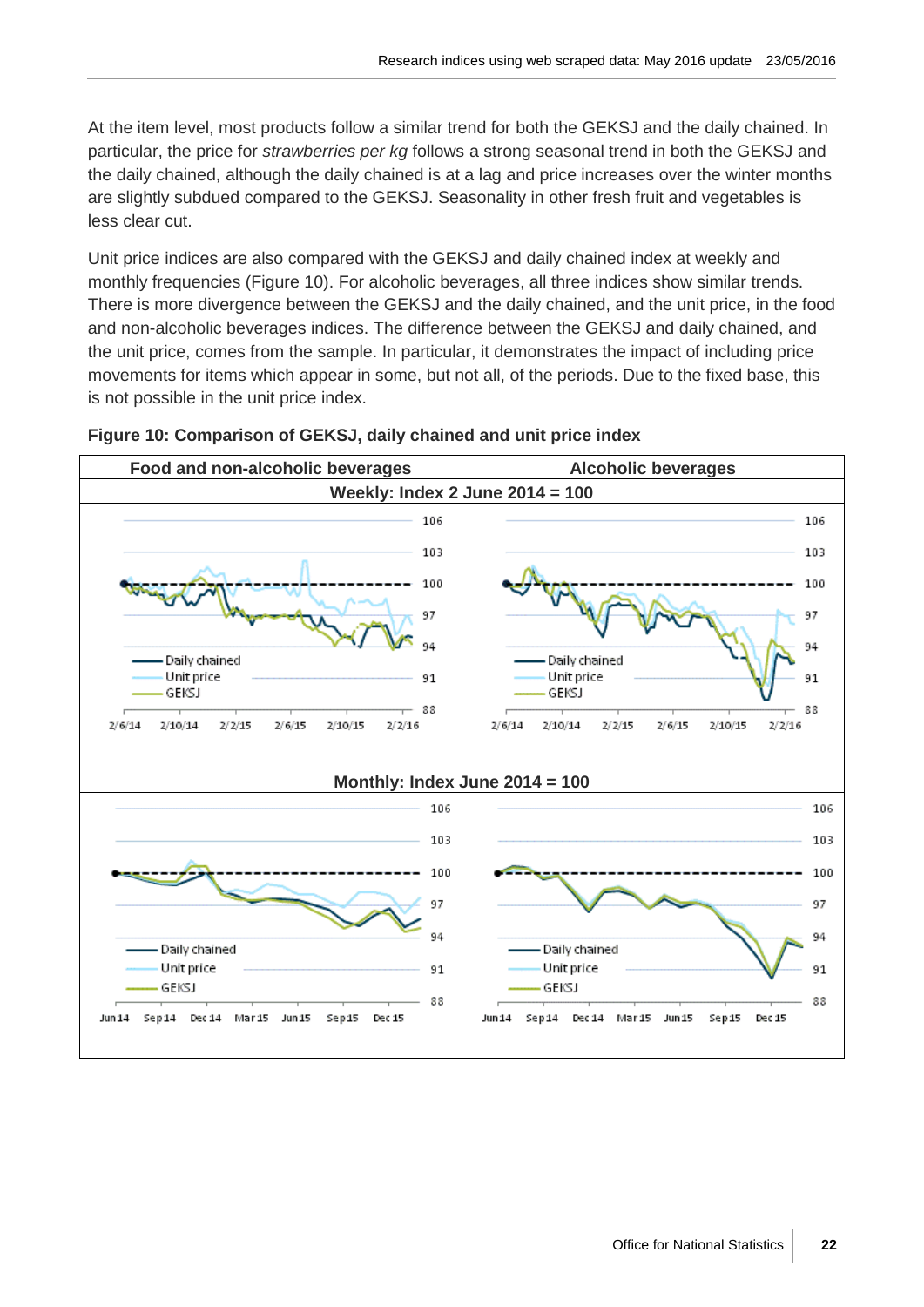At the item level, most products follow a similar trend for both the GEKSJ and the daily chained. In particular, the price for *strawberries per kg* follows a strong seasonal trend in both the GEKSJ and the daily chained, although the daily chained is at a lag and price increases over the winter months are slightly subdued compared to the GEKSJ. Seasonality in other fresh fruit and vegetables is less clear cut.

Unit price indices are also compared with the GEKSJ and daily chained index at weekly and monthly frequencies (Figure 10). For alcoholic beverages, all three indices show similar trends. There is more divergence between the GEKSJ and the daily chained, and the unit price, in the food and non-alcoholic beverages indices. The difference between the GEKSJ and daily chained, and the unit price, comes from the sample. In particular, it demonstrates the impact of including price movements for items which appear in some, but not all, of the periods. Due to the fixed base, this is not possible in the unit price index.



#### **Figure 10: Comparison of GEKSJ, daily chained and unit price index**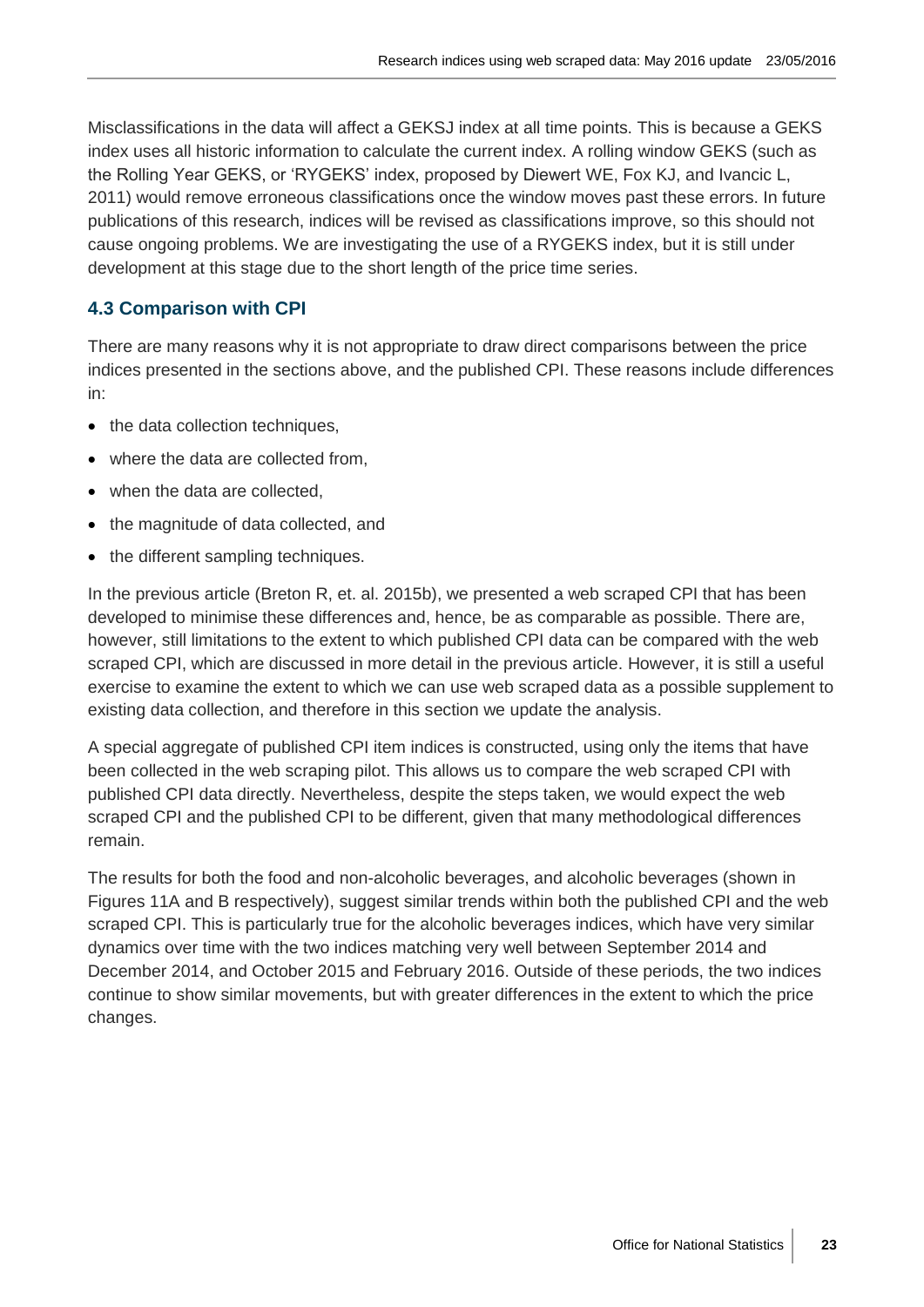Misclassifications in the data will affect a GEKSJ index at all time points. This is because a GEKS index uses all historic information to calculate the current index. A rolling window GEKS (such as the Rolling Year GEKS, or 'RYGEKS' index, proposed by Diewert WE, Fox KJ, and Ivancic L, 2011) would remove erroneous classifications once the window moves past these errors. In future publications of this research, indices will be revised as classifications improve, so this should not cause ongoing problems. We are investigating the use of a RYGEKS index, but it is still under development at this stage due to the short length of the price time series.

## **4.3 Comparison with CPI**

There are many reasons why it is not appropriate to draw direct comparisons between the price indices presented in the sections above, and the published CPI. These reasons include differences in:

- the data collection techniques,
- where the data are collected from.
- when the data are collected.
- the magnitude of data collected, and
- the different sampling techniques.

In the previous article (Breton R, et. al. 2015b), we presented a web scraped CPI that has been developed to minimise these differences and, hence, be as comparable as possible. There are, however, still limitations to the extent to which published CPI data can be compared with the web scraped CPI, which are discussed in more detail in the previous article. However, it is still a useful exercise to examine the extent to which we can use web scraped data as a possible supplement to existing data collection, and therefore in this section we update the analysis.

A special aggregate of published CPI item indices is constructed, using only the items that have been collected in the web scraping pilot. This allows us to compare the web scraped CPI with published CPI data directly. Nevertheless, despite the steps taken, we would expect the web scraped CPI and the published CPI to be different, given that many methodological differences remain.

The results for both the food and non-alcoholic beverages, and alcoholic beverages (shown in Figures 11A and B respectively), suggest similar trends within both the published CPI and the web scraped CPI. This is particularly true for the alcoholic beverages indices, which have very similar dynamics over time with the two indices matching very well between September 2014 and December 2014, and October 2015 and February 2016. Outside of these periods, the two indices continue to show similar movements, but with greater differences in the extent to which the price changes.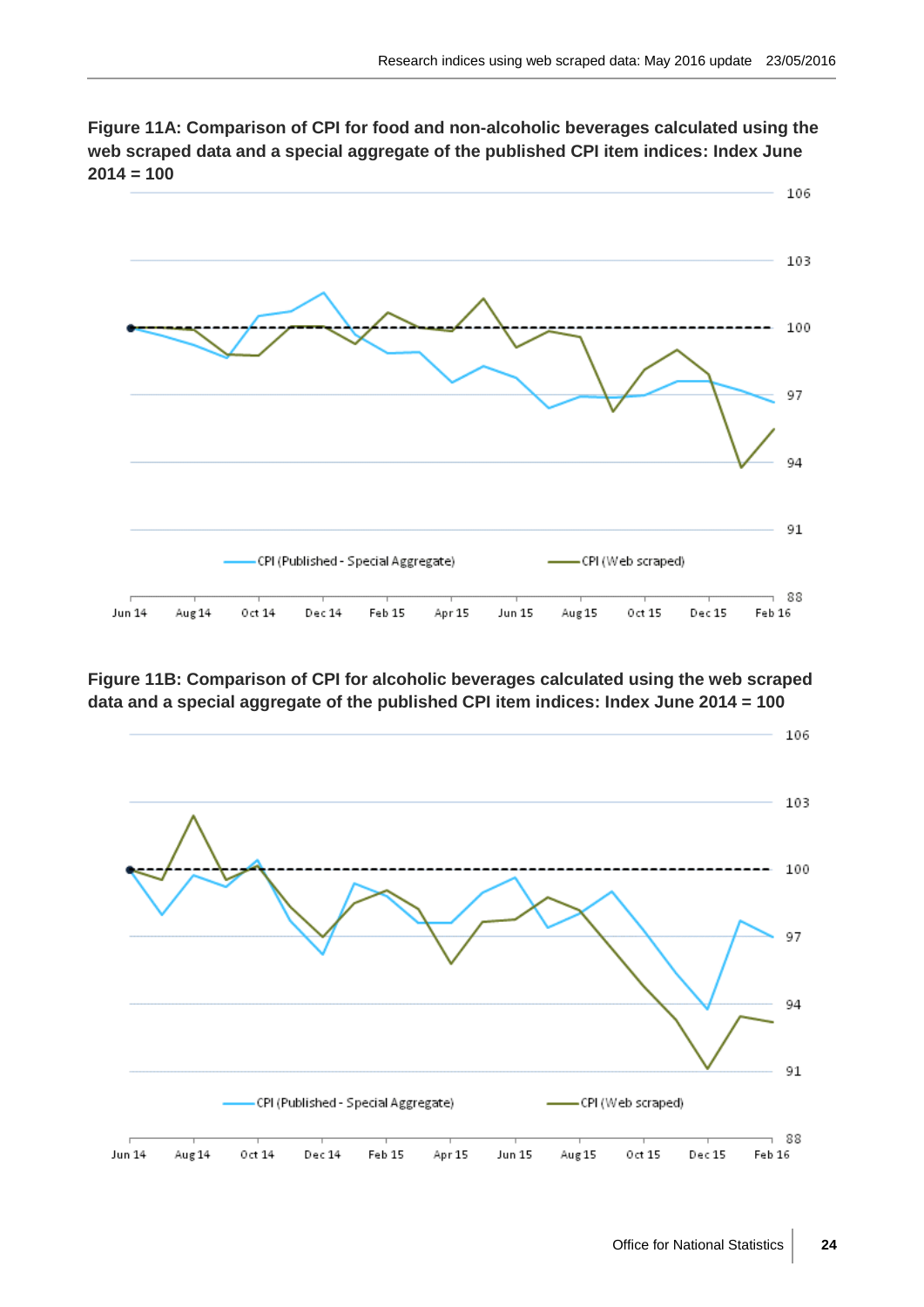

**Figure 11A: Comparison of CPI for food and non-alcoholic beverages calculated using the web scraped data and a special aggregate of the published CPI item indices: Index June 2014 = 100**

**Figure 11B: Comparison of CPI for alcoholic beverages calculated using the web scraped data and a special aggregate of the published CPI item indices: Index June 2014 = 100**



106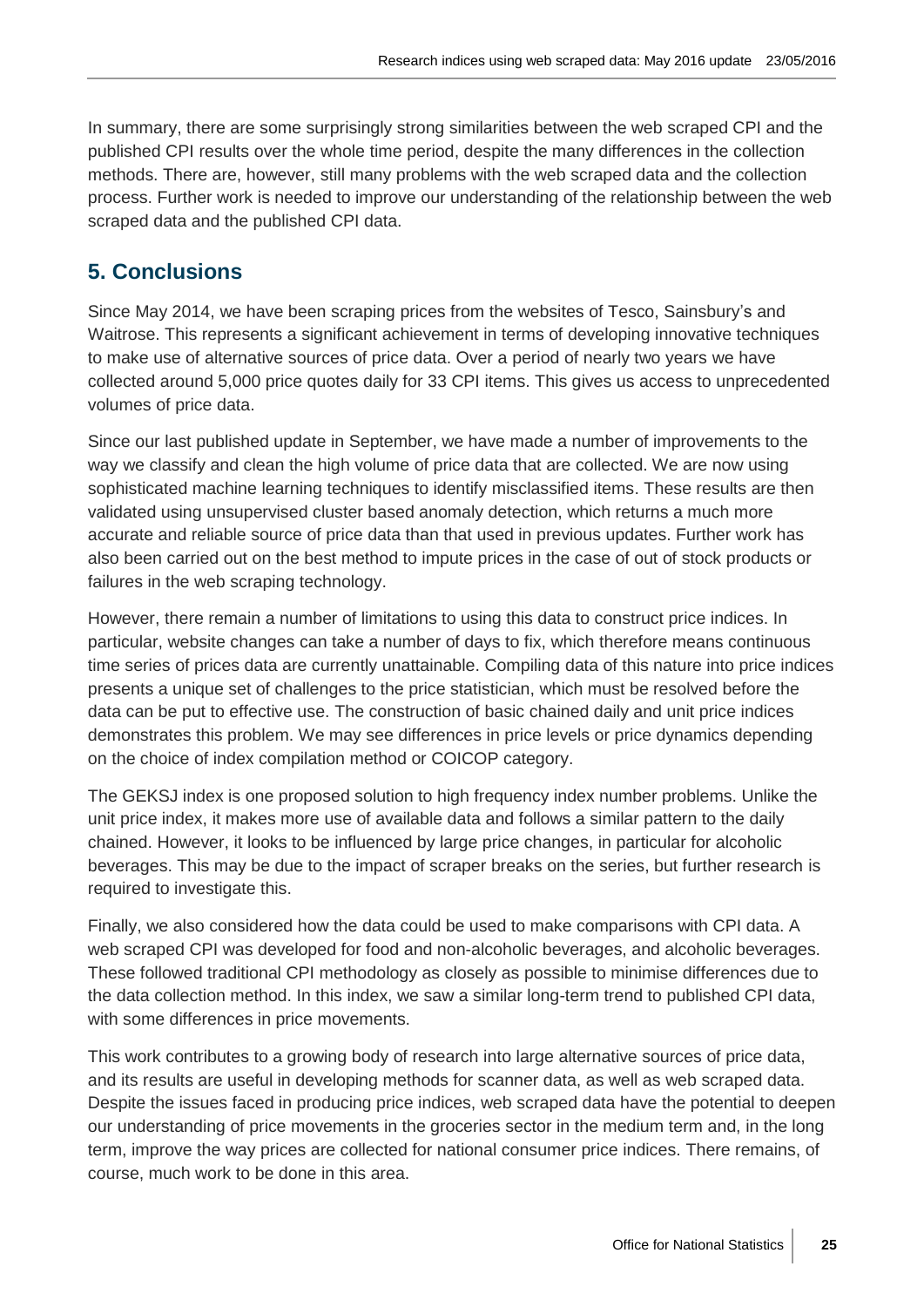In summary, there are some surprisingly strong similarities between the web scraped CPI and the published CPI results over the whole time period, despite the many differences in the collection methods. There are, however, still many problems with the web scraped data and the collection process. Further work is needed to improve our understanding of the relationship between the web scraped data and the published CPI data.

# **5. Conclusions**

Since May 2014, we have been scraping prices from the websites of Tesco, Sainsbury's and Waitrose. This represents a significant achievement in terms of developing innovative techniques to make use of alternative sources of price data. Over a period of nearly two years we have collected around 5,000 price quotes daily for 33 CPI items. This gives us access to unprecedented volumes of price data.

Since our last published update in September, we have made a number of improvements to the way we classify and clean the high volume of price data that are collected. We are now using sophisticated machine learning techniques to identify misclassified items. These results are then validated using unsupervised cluster based anomaly detection, which returns a much more accurate and reliable source of price data than that used in previous updates. Further work has also been carried out on the best method to impute prices in the case of out of stock products or failures in the web scraping technology.

However, there remain a number of limitations to using this data to construct price indices. In particular, website changes can take a number of days to fix, which therefore means continuous time series of prices data are currently unattainable. Compiling data of this nature into price indices presents a unique set of challenges to the price statistician, which must be resolved before the data can be put to effective use. The construction of basic chained daily and unit price indices demonstrates this problem. We may see differences in price levels or price dynamics depending on the choice of index compilation method or COICOP category.

The GEKSJ index is one proposed solution to high frequency index number problems. Unlike the unit price index, it makes more use of available data and follows a similar pattern to the daily chained. However, it looks to be influenced by large price changes, in particular for alcoholic beverages. This may be due to the impact of scraper breaks on the series, but further research is required to investigate this.

Finally, we also considered how the data could be used to make comparisons with CPI data. A web scraped CPI was developed for food and non-alcoholic beverages, and alcoholic beverages. These followed traditional CPI methodology as closely as possible to minimise differences due to the data collection method. In this index, we saw a similar long-term trend to published CPI data, with some differences in price movements.

This work contributes to a growing body of research into large alternative sources of price data, and its results are useful in developing methods for scanner data, as well as web scraped data. Despite the issues faced in producing price indices, web scraped data have the potential to deepen our understanding of price movements in the groceries sector in the medium term and, in the long term, improve the way prices are collected for national consumer price indices. There remains, of course, much work to be done in this area.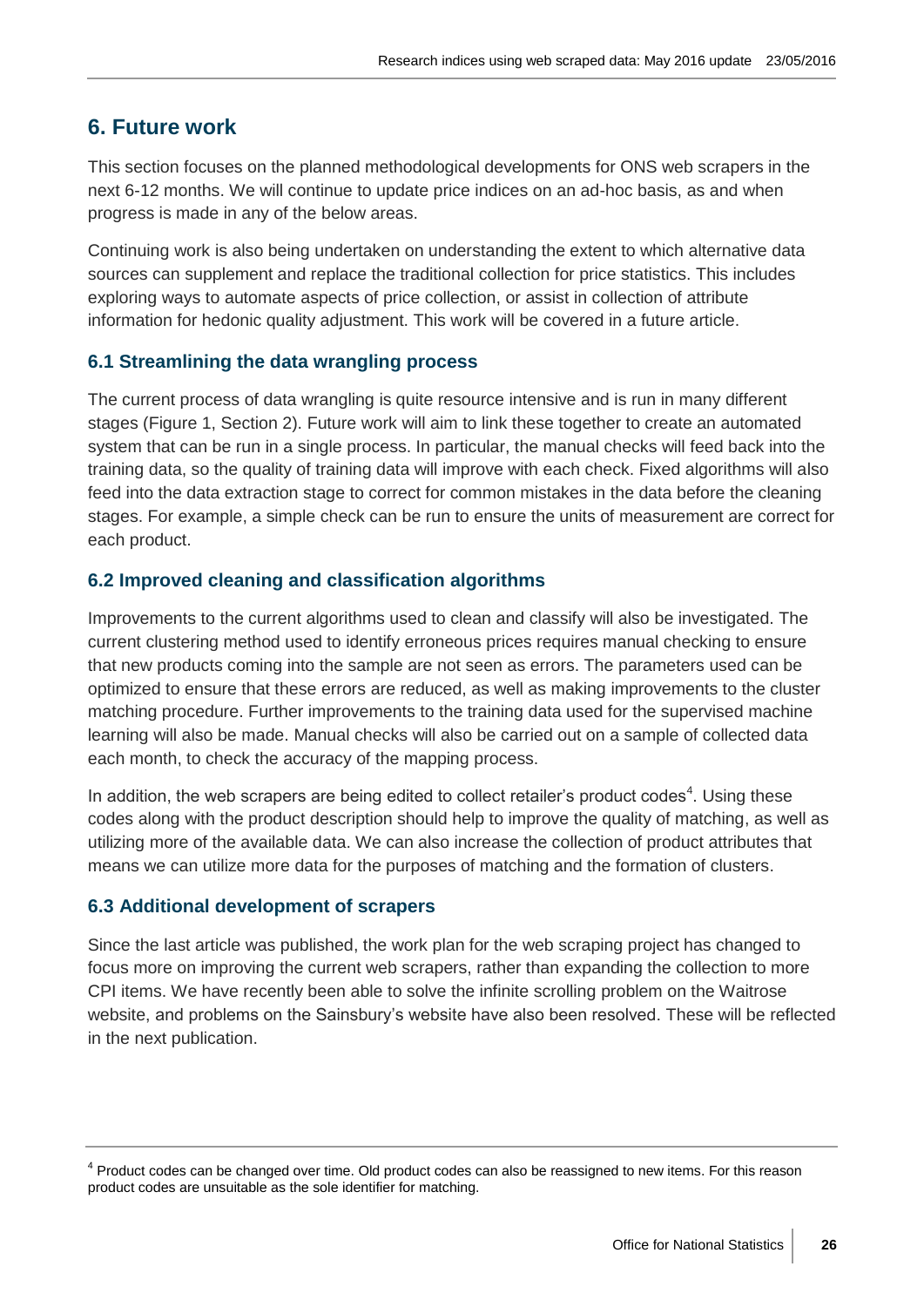# **6. Future work**

This section focuses on the planned methodological developments for ONS web scrapers in the next 6-12 months. We will continue to update price indices on an ad-hoc basis, as and when progress is made in any of the below areas.

Continuing work is also being undertaken on understanding the extent to which alternative data sources can supplement and replace the traditional collection for price statistics. This includes exploring ways to automate aspects of price collection, or assist in collection of attribute information for hedonic quality adjustment. This work will be covered in a future article.

#### **6.1 Streamlining the data wrangling process**

The current process of data wrangling is quite resource intensive and is run in many different stages (Figure 1, Section 2). Future work will aim to link these together to create an automated system that can be run in a single process. In particular, the manual checks will feed back into the training data, so the quality of training data will improve with each check. Fixed algorithms will also feed into the data extraction stage to correct for common mistakes in the data before the cleaning stages. For example, a simple check can be run to ensure the units of measurement are correct for each product.

#### **6.2 Improved cleaning and classification algorithms**

Improvements to the current algorithms used to clean and classify will also be investigated. The current clustering method used to identify erroneous prices requires manual checking to ensure that new products coming into the sample are not seen as errors. The parameters used can be optimized to ensure that these errors are reduced, as well as making improvements to the cluster matching procedure. Further improvements to the training data used for the supervised machine learning will also be made. Manual checks will also be carried out on a sample of collected data each month, to check the accuracy of the mapping process.

In addition, the web scrapers are being edited to collect retailer's product codes<sup>4</sup>. Using these codes along with the product description should help to improve the quality of matching, as well as utilizing more of the available data. We can also increase the collection of product attributes that means we can utilize more data for the purposes of matching and the formation of clusters.

#### **6.3 Additional development of scrapers**

Since the last article was published, the work plan for the web scraping project has changed to focus more on improving the current web scrapers, rather than expanding the collection to more CPI items. We have recently been able to solve the infinite scrolling problem on the Waitrose website, and problems on the Sainsbury's website have also been resolved. These will be reflected in the next publication.

<sup>&</sup>lt;sup>4</sup> Product codes can be changed over time. Old product codes can also be reassigned to new items. For this reason product codes are unsuitable as the sole identifier for matching.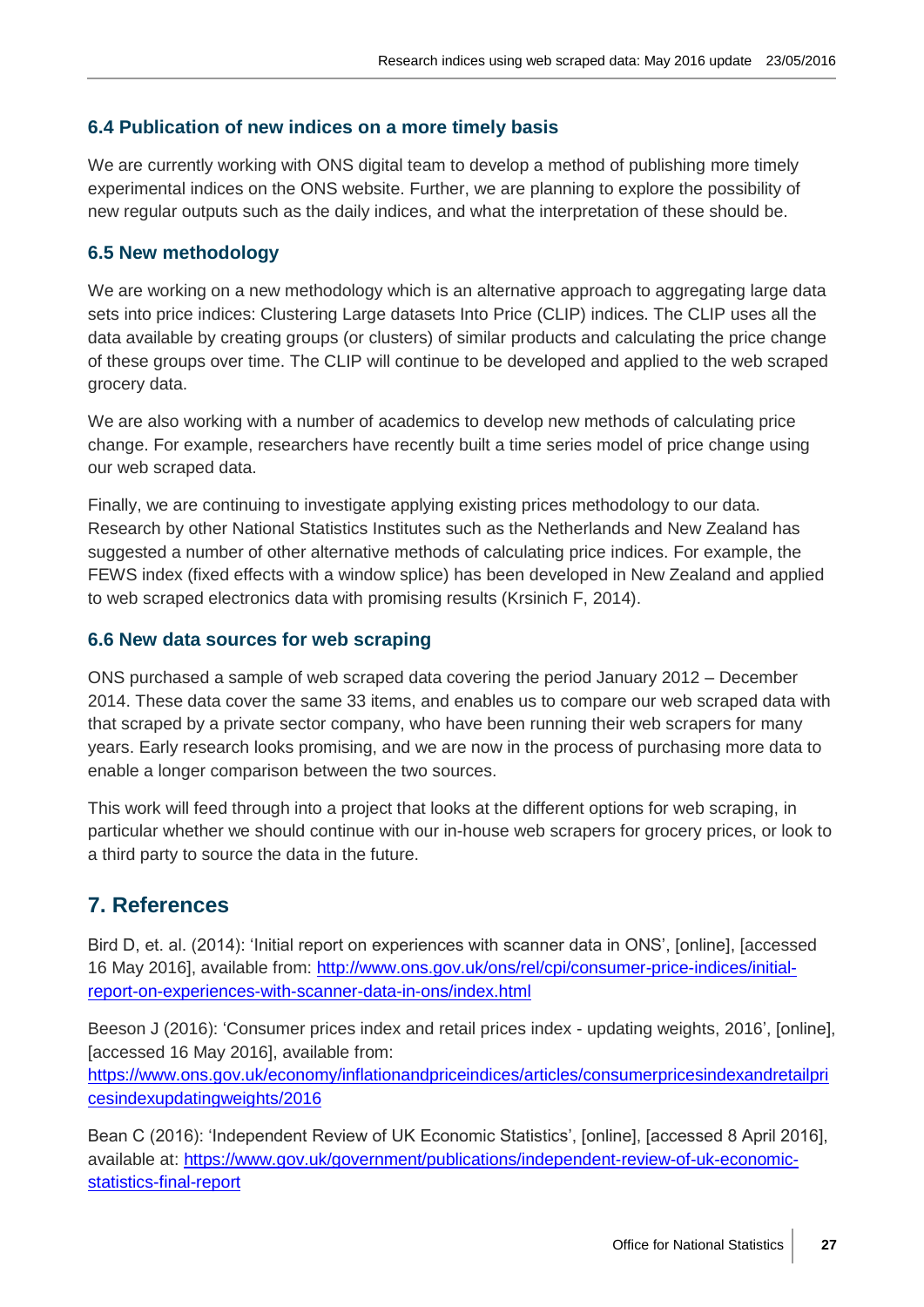# **6.4 Publication of new indices on a more timely basis**

We are currently working with ONS digital team to develop a method of publishing more timely experimental indices on the ONS website. Further, we are planning to explore the possibility of new regular outputs such as the daily indices, and what the interpretation of these should be.

# **6.5 New methodology**

We are working on a new methodology which is an alternative approach to aggregating large data sets into price indices: Clustering Large datasets Into Price (CLIP) indices. The CLIP uses all the data available by creating groups (or clusters) of similar products and calculating the price change of these groups over time. The CLIP will continue to be developed and applied to the web scraped grocery data.

We are also working with a number of academics to develop new methods of calculating price change. For example, researchers have recently built a time series model of price change using our web scraped data.

Finally, we are continuing to investigate applying existing prices methodology to our data. Research by other National Statistics Institutes such as the Netherlands and New Zealand has suggested a number of other alternative methods of calculating price indices. For example, the FEWS index (fixed effects with a window splice) has been developed in New Zealand and applied to web scraped electronics data with promising results (Krsinich F, 2014).

# **6.6 New data sources for web scraping**

ONS purchased a sample of web scraped data covering the period January 2012 – December 2014. These data cover the same 33 items, and enables us to compare our web scraped data with that scraped by a private sector company, who have been running their web scrapers for many years. Early research looks promising, and we are now in the process of purchasing more data to enable a longer comparison between the two sources.

This work will feed through into a project that looks at the different options for web scraping, in particular whether we should continue with our in-house web scrapers for grocery prices, or look to a third party to source the data in the future.

# **7. References**

Bird D, et. al. (2014): 'Initial report on experiences with scanner data in ONS', [online], [accessed 16 May 2016], available from: [http://www.ons.gov.uk/ons/rel/cpi/consumer-price-indices/initial](http://www.ons.gov.uk/ons/rel/cpi/consumer-price-indices/initial-report-on-experiences-with-scanner-data-in-ons/index.html)[report-on-experiences-with-scanner-data-in-ons/index.html](http://www.ons.gov.uk/ons/rel/cpi/consumer-price-indices/initial-report-on-experiences-with-scanner-data-in-ons/index.html)

Beeson J (2016): 'Consumer prices index and retail prices index - updating weights, 2016', [online], [accessed 16 May 2016], available from:

[https://www.ons.gov.uk/economy/inflationandpriceindices/articles/consumerpricesindexandretailpri](https://www.ons.gov.uk/economy/inflationandpriceindices/articles/consumerpricesindexandretailpricesindexupdatingweights/2016) [cesindexupdatingweights/2016](https://www.ons.gov.uk/economy/inflationandpriceindices/articles/consumerpricesindexandretailpricesindexupdatingweights/2016)

Bean C (2016): 'Independent Review of UK Economic Statistics', [online], [accessed 8 April 2016], available at: [https://www.gov.uk/government/publications/independent-review-of-uk-economic](https://www.gov.uk/government/publications/independent-review-of-uk-economic-statistics-final-report)[statistics-final-report](https://www.gov.uk/government/publications/independent-review-of-uk-economic-statistics-final-report)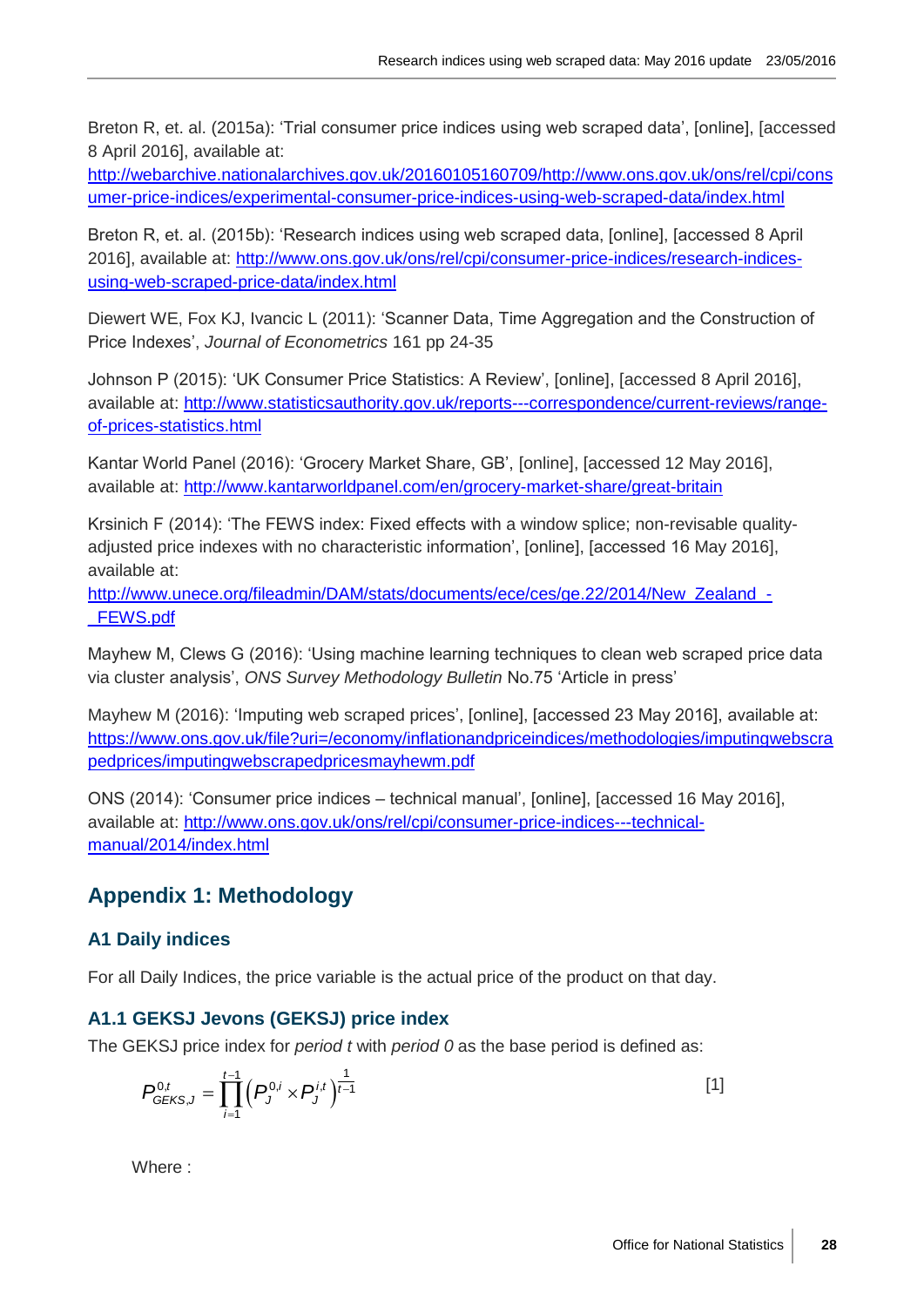Breton R, et. al. (2015a): 'Trial consumer price indices using web scraped data', [online], [accessed 8 April 2016], available at:

[http://webarchive.nationalarchives.gov.uk/20160105160709/http://www.ons.gov.uk/ons/rel/cpi/cons](http://webarchive.nationalarchives.gov.uk/20160105160709/http:/www.ons.gov.uk/ons/rel/cpi/consumer-price-indices/experimental-consumer-price-indices-using-web-scraped-data/index.html) [umer-price-indices/experimental-consumer-price-indices-using-web-scraped-data/index.html](http://webarchive.nationalarchives.gov.uk/20160105160709/http:/www.ons.gov.uk/ons/rel/cpi/consumer-price-indices/experimental-consumer-price-indices-using-web-scraped-data/index.html)

Breton R, et. al. (2015b): 'Research indices using web scraped data, [online], [accessed 8 April 2016], available at: [http://www.ons.gov.uk/ons/rel/cpi/consumer-price-indices/research-indices](http://www.ons.gov.uk/ons/rel/cpi/consumer-price-indices/research-indices-using-web-scraped-price-data/index.html)[using-web-scraped-price-data/index.html](http://www.ons.gov.uk/ons/rel/cpi/consumer-price-indices/research-indices-using-web-scraped-price-data/index.html)

Diewert WE, Fox KJ, Ivancic L (2011): 'Scanner Data, Time Aggregation and the Construction of Price Indexes', *Journal of Econometrics* 161 pp 24-35

Johnson P (2015): 'UK Consumer Price Statistics: A Review', [online], [accessed 8 April 2016], available at: [http://www.statisticsauthority.gov.uk/reports---correspondence/current-reviews/range](http://www.statisticsauthority.gov.uk/reports---correspondence/current-reviews/range-of-prices-statistics.html)[of-prices-statistics.html](http://www.statisticsauthority.gov.uk/reports---correspondence/current-reviews/range-of-prices-statistics.html)

Kantar World Panel (2016): 'Grocery Market Share, GB', [online], [accessed 12 May 2016], available at:<http://www.kantarworldpanel.com/en/grocery-market-share/great-britain>

Krsinich F (2014): 'The FEWS index: Fixed effects with a window splice; non-revisable qualityadjusted price indexes with no characteristic information', [online], [accessed 16 May 2016], available at:

http://www.unece.org/fileadmin/DAM/stats/documents/ece/ces/ge.22/2014/New\_Zealand -[\\_FEWS.pdf](http://www.unece.org/fileadmin/DAM/stats/documents/ece/ces/ge.22/2014/New_Zealand_-_FEWS.pdf)

Mayhew M, Clews G (2016): 'Using machine learning techniques to clean web scraped price data via cluster analysis', *ONS Survey Methodology Bulletin* No.75 'Article in press'

Mayhew M (2016): 'Imputing web scraped prices', [online], [accessed 23 May 2016], available at: [https://www.ons.gov.uk/file?uri=/economy/inflationandpriceindices/methodologies/imputingwebscra](https://www.ons.gov.uk/file?uri=/economy/inflationandpriceindices/methodologies/imputingwebscrapedprices/imputingwebscrapedpricesmayhewm.pdf) [pedprices/imputingwebscrapedpricesmayhewm.pdf](https://www.ons.gov.uk/file?uri=/economy/inflationandpriceindices/methodologies/imputingwebscrapedprices/imputingwebscrapedpricesmayhewm.pdf)

ONS (2014): 'Consumer price indices – technical manual', [online], [accessed 16 May 2016], available at: [http://www.ons.gov.uk/ons/rel/cpi/consumer-price-indices---technical](http://www.ons.gov.uk/ons/rel/cpi/consumer-price-indices---technical-manual/2014/index.html)[manual/2014/index.html](http://www.ons.gov.uk/ons/rel/cpi/consumer-price-indices---technical-manual/2014/index.html)

# **Appendix 1: Methodology**

# **A1 Daily indices**

For all Daily Indices, the price variable is the actual price of the product on that day.

# **A1.1 GEKSJ Jevons (GEKSJ) price index**

The GEKSJ price index for *period t* with *period 0* as the base period is defined as:

$$
P_{GEKS,J}^{0,t} = \prod_{i=1}^{t-1} \left( P_J^{0,i} \times P_J^{i,t} \right)^{\frac{1}{t-1}}
$$
 [1]

Where :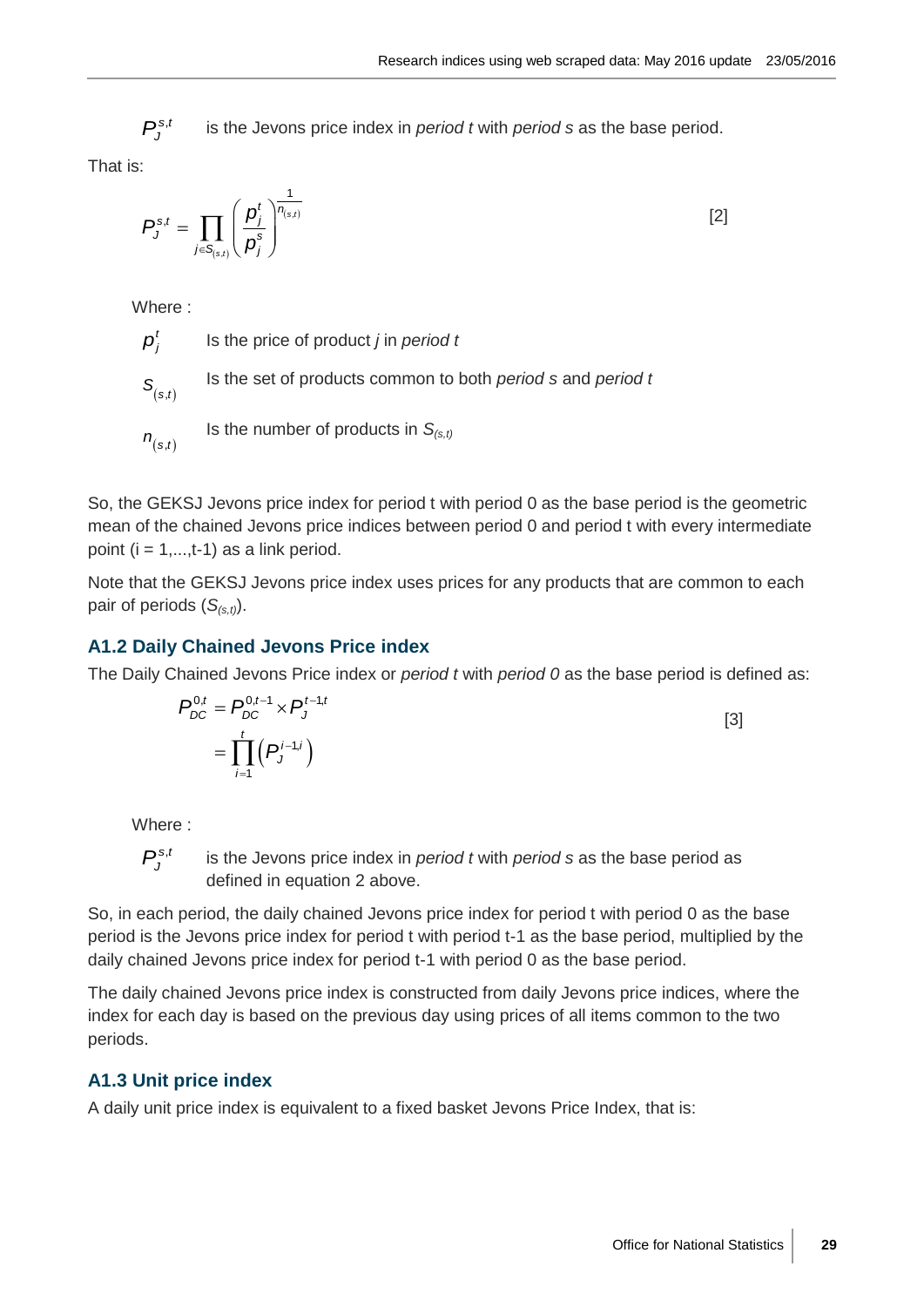is the Jevons price index in *period t* with *period s* as the base period.

That is:

$$
P_J^{s,t} = \prod_{j \in S_{(s,t)}} \left( \frac{p_j^t}{p_j^s} \right)^{\frac{1}{n_{(s,t)}}}
$$
 [2]

Where :

 $P_j^{x,i}$  is the Jewons price index in *period t* with *period* s as the base period.<br>
<br>  $P_j^{x,i} = \prod_{i \in I_{\text{c},i}} \left(\frac{p_i}{p_i^*}\right)^{\frac{1}{1+p_{i}}}$  [2]<br>
<br>
Where  $\vdots$ <br>  $P_{\text{c},i}^{x} = \prod_{i \in I_{\text{c},i}} \left(\frac{p_i}{p_i^*}\right)^{\frac{1}{1+p_{i}}}$  [2]<br>
<br>  $p_i^t$ Is the price of product *j* in *period t*  $S_{(s,t)}$ Is the set of products common to both *period s* and *period t*  $n_{(s,t)}$ Is the number of products in *S(s,t)*

So, the GEKSJ Jevons price index for period t with period 0 as the base period is the geometric mean of the chained Jevons price indices between period 0 and period t with every intermediate point  $(i = 1, \ldots, t-1)$  as a link period.

Note that the GEKSJ Jevons price index uses prices for any products that are common to each pair of periods  $(S_{(s,t)})$ .

# **A1.2 Daily Chained Jevons Price index**

The Daily Chained Jevons Price index or *period t* with *period 0* as the base period is defined as:

$$
P_{DC}^{0,t} = P_{DC}^{0,t-1} \times P_J^{t-1,t}
$$
  
= 
$$
\prod_{i=1}^t (P_J^{i-1,i})
$$
 [3]

Where :

 $P_{I}^{s,t}$ is the Jevons price index in *period t* with *period s* as the base period as defined in equation 2 above.

So, in each period, the daily chained Jevons price index for period t with period 0 as the base period is the Jevons price index for period t with period t-1 as the base period, multiplied by the daily chained Jevons price index for period t-1 with period 0 as the base period.

The daily chained Jevons price index is constructed from daily Jevons price indices, where the index for each day is based on the previous day using prices of all items common to the two periods.

# **A1.3 Unit price index**

A daily unit price index is equivalent to a fixed basket Jevons Price Index, that is: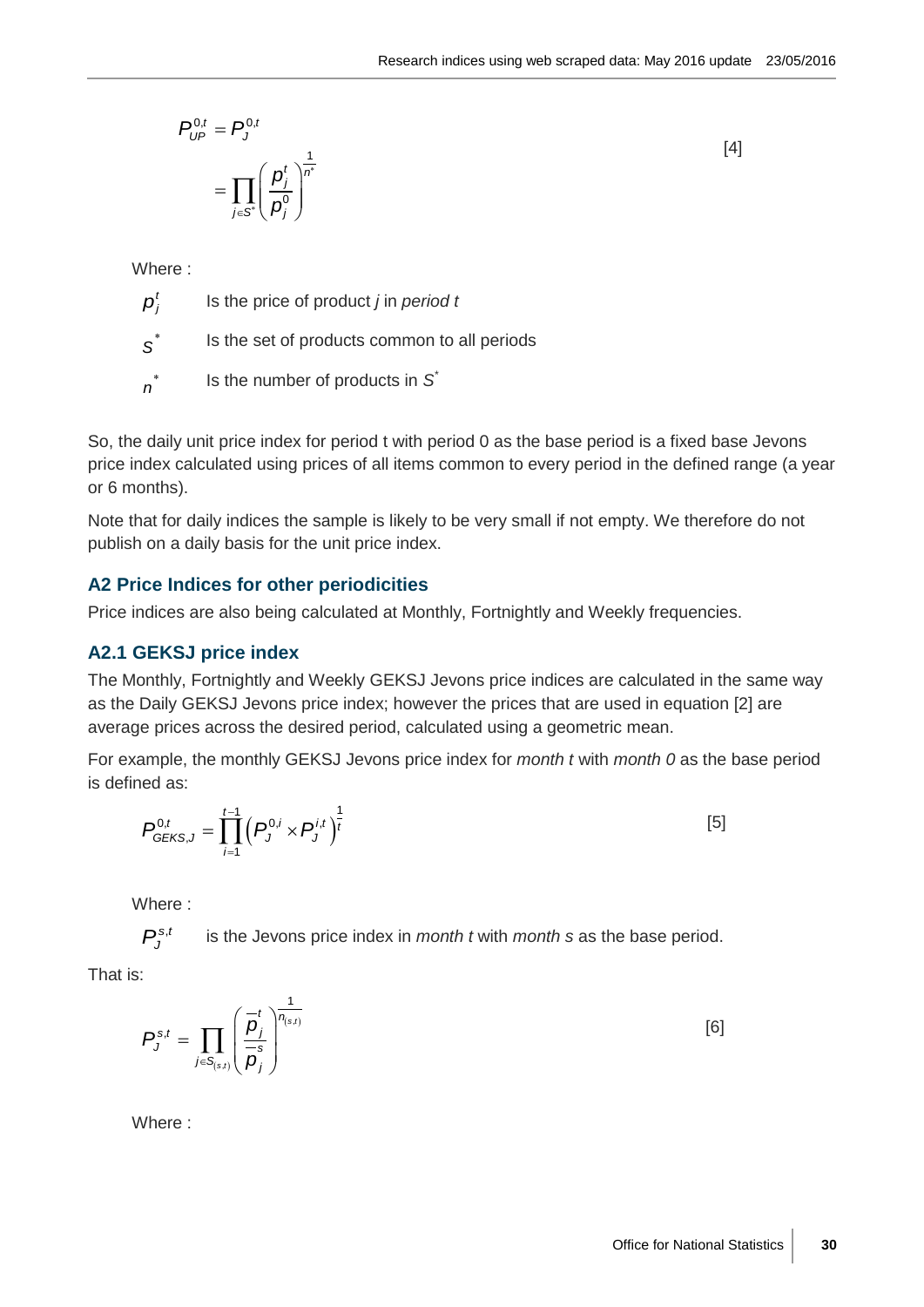$$
P_{\mathsf{UP}}^{0,t} = P_{\mathsf{J}}^{0,t}
$$
\n
$$
= \prod_{j \in \mathcal{S}^*} \left( \frac{p_j^t}{p_j^0} \right)^{\frac{1}{n^*}}
$$

[4]

Where :

 $p_i^t$ Is the price of product *j* in *period t*

 *S* Is the set of products common to all periods

 *n* Is the number of products in *S \**

So, the daily unit price index for period t with period 0 as the base period is a fixed base Jevons price index calculated using prices of all items common to every period in the defined range (a year or 6 months).

Note that for daily indices the sample is likely to be very small if not empty. We therefore do not publish on a daily basis for the unit price index.

#### **A2 Price Indices for other periodicities**

Price indices are also being calculated at Monthly, Fortnightly and Weekly frequencies.

#### **A2.1 GEKSJ price index**

The Monthly, Fortnightly and Weekly GEKSJ Jevons price indices are calculated in the same way as the Daily GEKSJ Jevons price index; however the prices that are used in equation [2] are average prices across the desired period, calculated using a geometric mean.

For example, the monthly GEKSJ Jevons price index for *month t* with *month 0* as the base period is defined as:

$$
P_{GEKS,J}^{0,t} = \prod_{i=1}^{t-1} \left( P_J^{0,i} \times P_J^{i,t} \right)^{\frac{1}{t}}
$$
 [5]

Where :

 $P_{i}^{\mathrm{s},t}$ is the Jevons price index in *month t* with *month s* as the base period.

That is:

$$
P_J^{s,t} = \prod_{j \in S_{(s,t)}} \left(\frac{\overline{p}_j^t}{\overline{p}_j^s}\right)^{\frac{1}{n_{(s,t)}}}
$$
 [6]

Where :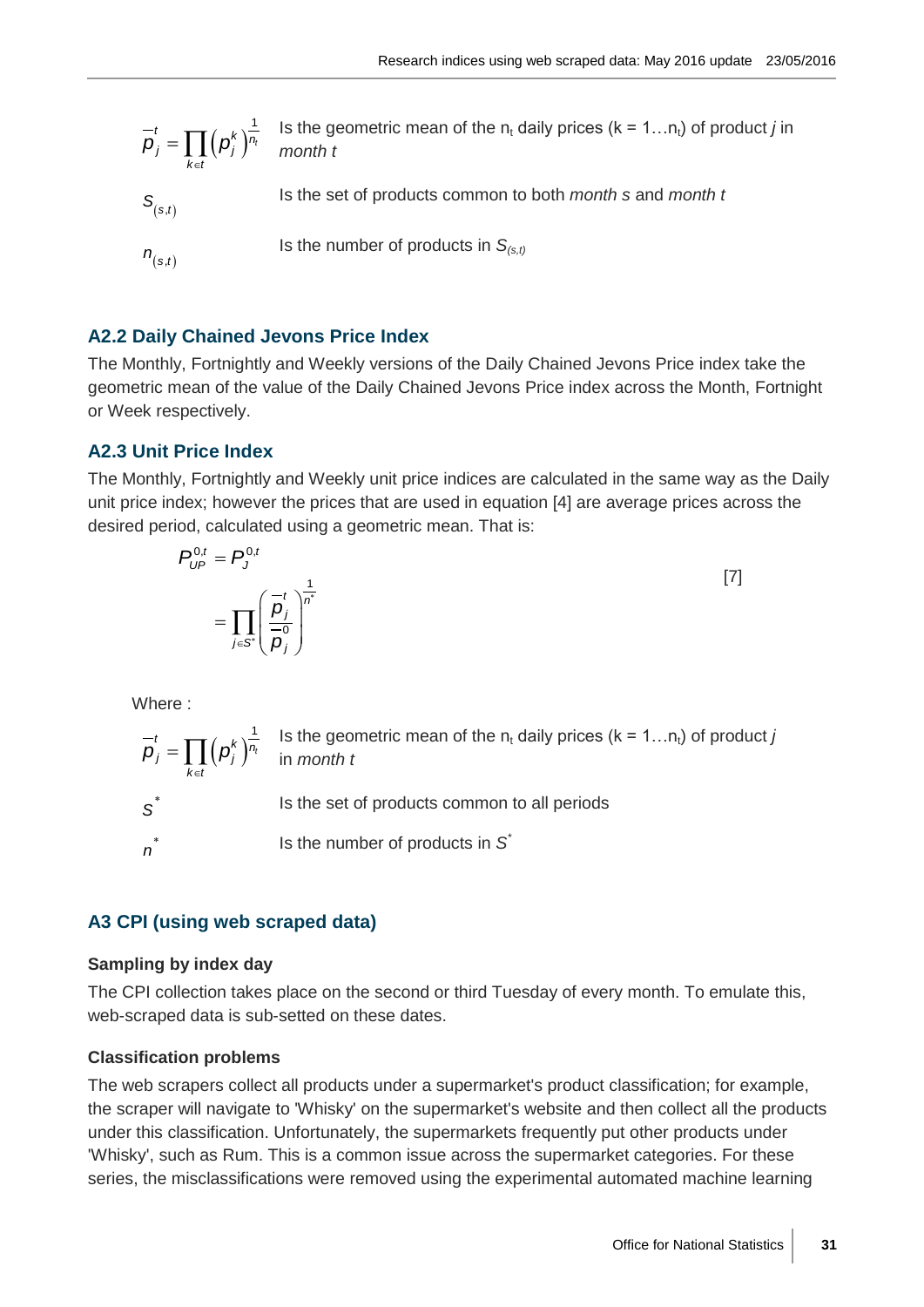$$
\overline{p}_j^t = \prod_{k \in t} (p_j^k)^{\frac{1}{n_i}}
$$
 Is the geometric mean of the n<sub>t</sub> daily prices (k = 1...n<sub>t</sub>) of product *j* in  
\n
$$
S_{(s,t)}
$$
 Is the set of products common to both *month* s and *month* t  
\n
$$
n_{(s,t)}
$$
 Is the number of products in  $S_{(s,t)}$ 

#### **A2.2 Daily Chained Jevons Price Index**

The Monthly, Fortnightly and Weekly versions of the Daily Chained Jevons Price index take the geometric mean of the value of the Daily Chained Jevons Price index across the Month, Fortnight or Week respectively.

#### **A2.3 Unit Price Index**

The Monthly, Fortnightly and Weekly unit price indices are calculated in the same way as the Daily unit price index; however the prices that are used in equation [4] are average prices across the desired period, calculated using a geometric mean. That is:

$$
P_{UP}^{0,t} = P_J^{0,t}
$$
  
= 
$$
\prod_{j \in S^*} \left(\frac{\overline{p}_j}{\frac{\overline{p}_j}{\overline{p}_j}}\right)^{\frac{1}{n^*}}
$$
 [7]

Where :

 $(p_i^{\kappa})^n$  $=\prod_{k\in t}\Bigl(\boldsymbol{\rho}_{j}^{k}\Bigr)^{\!\frac{1}{\!_{t}}}$  $\boldsymbol{p}_j^t = \prod_{j} \left( \boldsymbol{p}_j^k \right)^{\frac{1}{n_t}}$  $\overline{\rho}_j^t = \prod_{k \in t} \left( \rho_j^k \right)^{\frac{1}{n_t}}$  is the geometric mean of the n<sub>t</sub> daily prices (k = 1...n<sub>t</sub>) of product *j*<br>in *month t* in *month t S* Is the set of products common to all periods *n* Is the number of products in *S \**

#### **A3 CPI (using web scraped data)**

#### **Sampling by index day**

The CPI collection takes place on the second or third Tuesday of every month. To emulate this, web-scraped data is sub-setted on these dates.

#### **Classification problems**

The web scrapers collect all products under a supermarket's product classification; for example, the scraper will navigate to 'Whisky' on the supermarket's website and then collect all the products under this classification. Unfortunately, the supermarkets frequently put other products under 'Whisky', such as Rum. This is a common issue across the supermarket categories. For these series, the misclassifications were removed using the experimental automated machine learning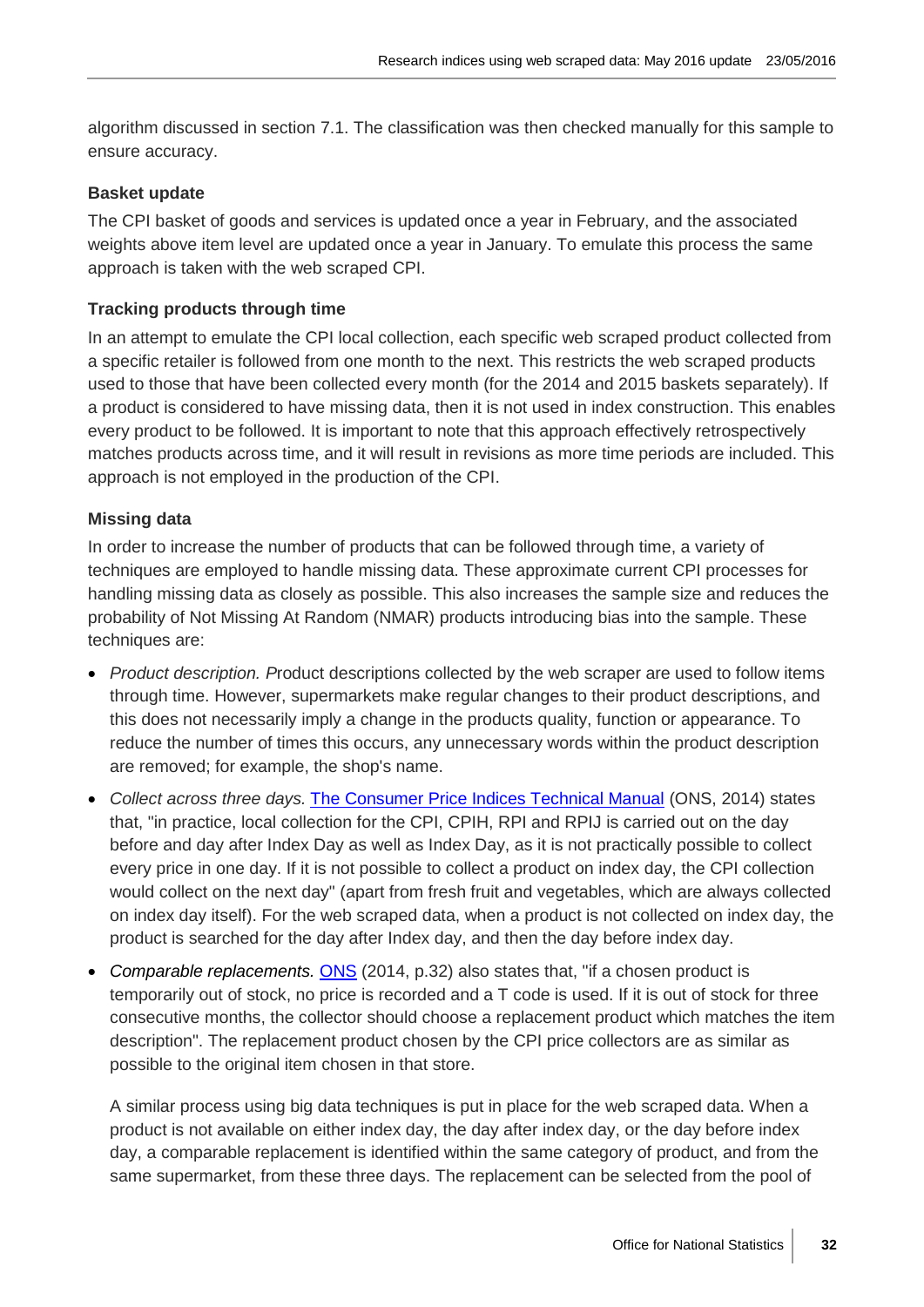algorithm discussed in section 7.1. The classification was then checked manually for this sample to ensure accuracy.

#### **Basket update**

The CPI basket of goods and services is updated once a year in February, and the associated weights above item level are updated once a year in January. To emulate this process the same approach is taken with the web scraped CPI.

#### **Tracking products through time**

In an attempt to emulate the CPI local collection, each specific web scraped product collected from a specific retailer is followed from one month to the next. This restricts the web scraped products used to those that have been collected every month (for the 2014 and 2015 baskets separately). If a product is considered to have missing data, then it is not used in index construction. This enables every product to be followed. It is important to note that this approach effectively retrospectively matches products across time, and it will result in revisions as more time periods are included. This approach is not employed in the production of the CPI.

#### **Missing data**

In order to increase the number of products that can be followed through time, a variety of techniques are employed to handle missing data. These approximate current CPI processes for handling missing data as closely as possible. This also increases the sample size and reduces the probability of Not Missing At Random (NMAR) products introducing bias into the sample. These techniques are:

- *Product description. P*roduct descriptions collected by the web scraper are used to follow items through time. However, supermarkets make regular changes to their product descriptions, and this does not necessarily imply a change in the products quality, function or appearance. To reduce the number of times this occurs, any unnecessary words within the product description are removed; for example, the shop's name.
- *Collect across three days.* [The Consumer Price Indices Technical Manual](http://www.ons.gov.uk/ons/rel/cpi/consumer-price-indices---technical-manual/2014/index.html) (ONS, 2014) states that, "in practice, local collection for the CPI, CPIH, RPI and RPIJ is carried out on the day before and day after Index Day as well as Index Day, as it is not practically possible to collect every price in one day. If it is not possible to collect a product on index day, the CPI collection would collect on the next day" (apart from fresh fruit and vegetables, which are always collected on index day itself). For the web scraped data, when a product is not collected on index day, the product is searched for the day after Index day, and then the day before index day.
- *Comparable replacements.* [ONS](http://www.ons.gov.uk/ons/rel/cpi/consumer-price-indices---technical-manual/2014/index.html) (2014, p.32) also states that, "if a chosen product is temporarily out of stock, no price is recorded and a T code is used. If it is out of stock for three consecutive months, the collector should choose a replacement product which matches the item description". The replacement product chosen by the CPI price collectors are as similar as possible to the original item chosen in that store.

A similar process using big data techniques is put in place for the web scraped data. When a product is not available on either index day, the day after index day, or the day before index day, a comparable replacement is identified within the same category of product, and from the same supermarket, from these three days. The replacement can be selected from the pool of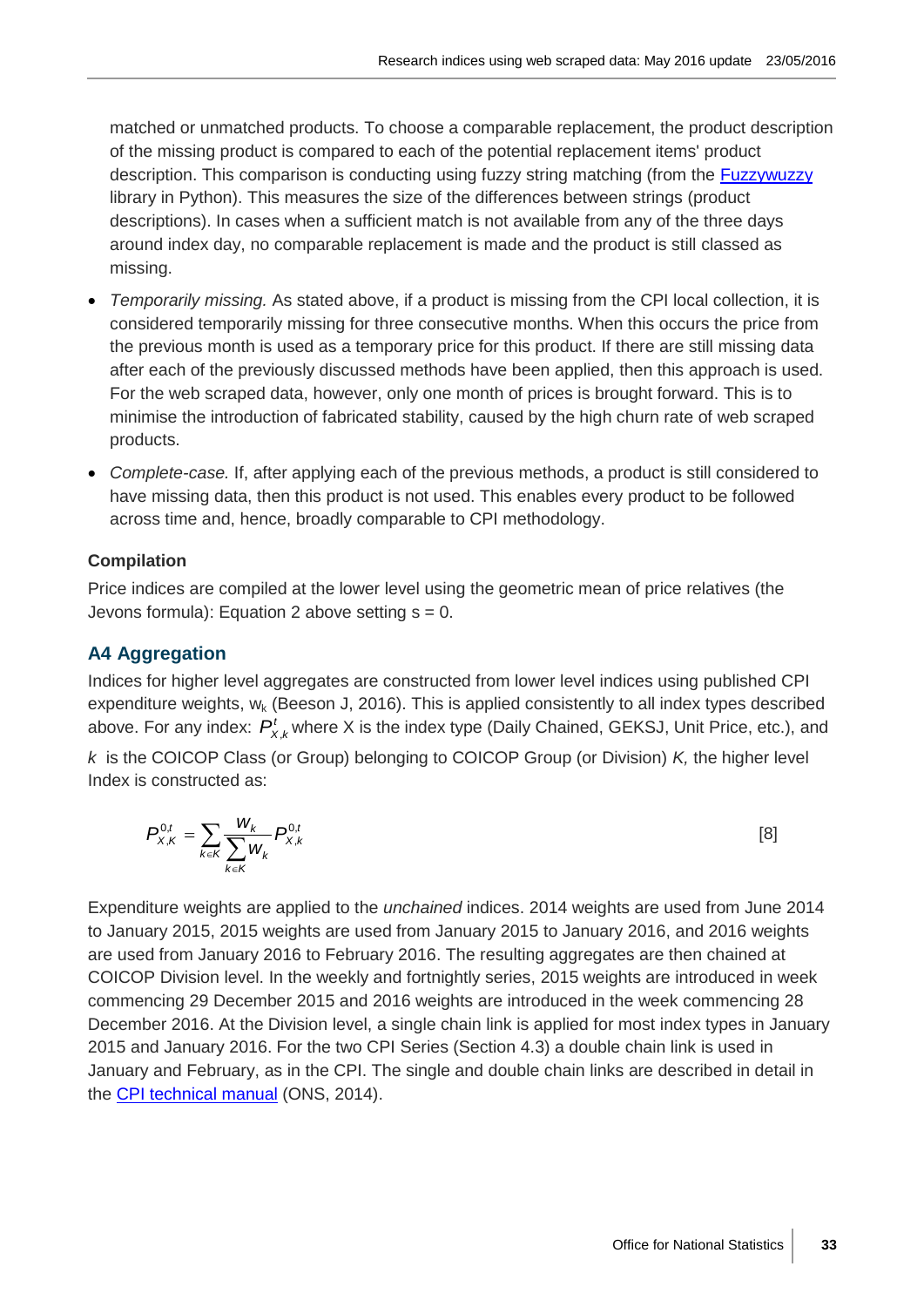matched or unmatched products. To choose a comparable replacement, the product description of the missing product is compared to each of the potential replacement items' product description. This comparison is conducting using fuzzy string matching (from the **Fuzzywuzzy** library in Python). This measures the size of the differences between strings (product descriptions). In cases when a sufficient match is not available from any of the three days around index day, no comparable replacement is made and the product is still classed as missing.

- *Temporarily missing.* As stated above, if a product is missing from the CPI local collection, it is considered temporarily missing for three consecutive months. When this occurs the price from the previous month is used as a temporary price for this product. If there are still missing data after each of the previously discussed methods have been applied, then this approach is used. For the web scraped data, however, only one month of prices is brought forward. This is to minimise the introduction of fabricated stability, caused by the high churn rate of web scraped products.
- *Complete-case.* If, after applying each of the previous methods, a product is still considered to have missing data, then this product is not used. This enables every product to be followed across time and, hence, broadly comparable to CPI methodology.

# **Compilation**

Price indices are compiled at the lower level using the geometric mean of price relatives (the Jevons formula): Equation 2 above setting  $s = 0$ .

# **A4 Aggregation**

Indices for higher level aggregates are constructed from lower level indices using published CPI expenditure weights,  $w_k$  (Beeson J, 2016). This is applied consistently to all index types described above. For any index:  $P_{X,k}^t$  where X is the index type (Daily Chained, GEKSJ, Unit Price, etc.), and *k* is the COICOP Class (or Group) belonging to COICOP Group (or Division) *K,* the higher level Index is constructed as:

$$
P_{X,K}^{0,t} = \sum_{k \in K} \frac{W_k}{\sum_{k \in K} W_k} P_{X,k}^{0,t}
$$
 [8]

Expenditure weights are applied to the *unchained* indices. 2014 weights are used from June 2014 to January 2015, 2015 weights are used from January 2015 to January 2016, and 2016 weights are used from January 2016 to February 2016. The resulting aggregates are then chained at COICOP Division level. In the weekly and fortnightly series, 2015 weights are introduced in week commencing 29 December 2015 and 2016 weights are introduced in the week commencing 28 December 2016. At the Division level, a single chain link is applied for most index types in January 2015 and January 2016. For the two CPI Series (Section 4.3) a double chain link is used in January and February, as in the CPI. The single and double chain links are described in detail in the [CPI technical manual](http://www.ons.gov.uk/ons/rel/cpi/consumer-price-indices---technical-manual/2014/index.html) (ONS, 2014).